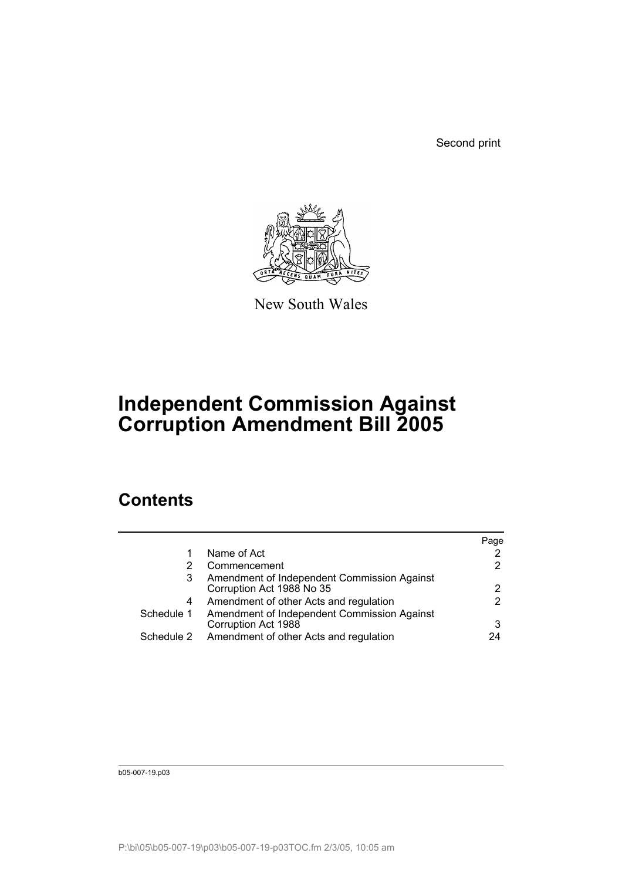Second print



New South Wales

# **Independent Commission Against Corruption Amendment Bill 2005**

# **Contents**

|            |                                                                          | Page                 |
|------------|--------------------------------------------------------------------------|----------------------|
|            | Name of Act                                                              | 2                    |
|            | Commencement                                                             | $\overline{2}$       |
| 3          | Amendment of Independent Commission Against<br>Corruption Act 1988 No 35 | $\mathbf{2}^{\circ}$ |
| 4          | Amendment of other Acts and regulation                                   | $\overline{2}$       |
| Schedule 1 | Amendment of Independent Commission Against<br>Corruption Act 1988       | 3                    |
| Schedule 2 | Amendment of other Acts and regulation                                   | 24                   |

b05-007-19.p03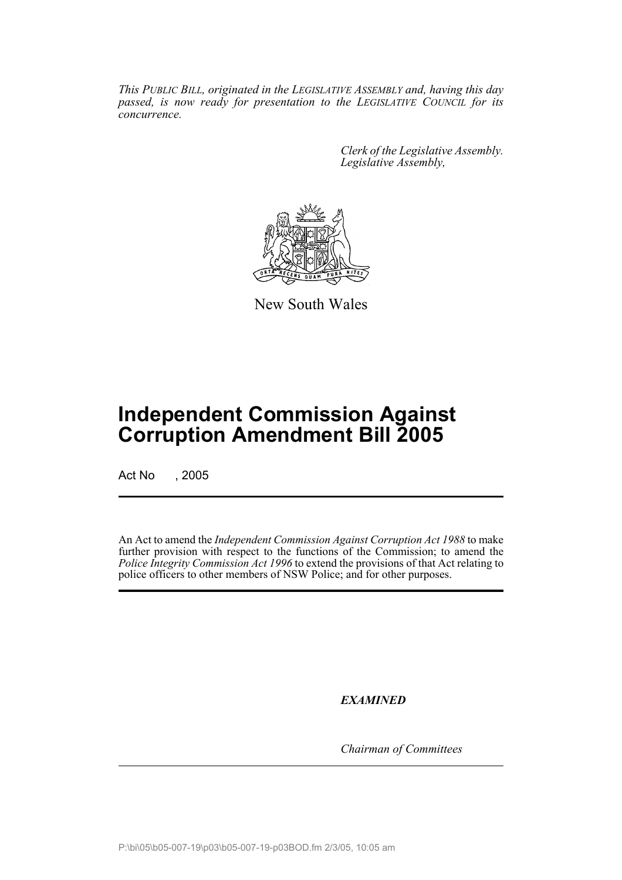*This PUBLIC BILL, originated in the LEGISLATIVE ASSEMBLY and, having this day passed, is now ready for presentation to the LEGISLATIVE COUNCIL for its concurrence.*

> *Clerk of the Legislative Assembly. Legislative Assembly,*



New South Wales

# **Independent Commission Against Corruption Amendment Bill 2005**

Act No , 2005

An Act to amend the *Independent Commission Against Corruption Act 1988* to make further provision with respect to the functions of the Commission; to amend the *Police Integrity Commission Act 1996* to extend the provisions of that Act relating to police officers to other members of NSW Police; and for other purposes.

*EXAMINED*

*Chairman of Committees*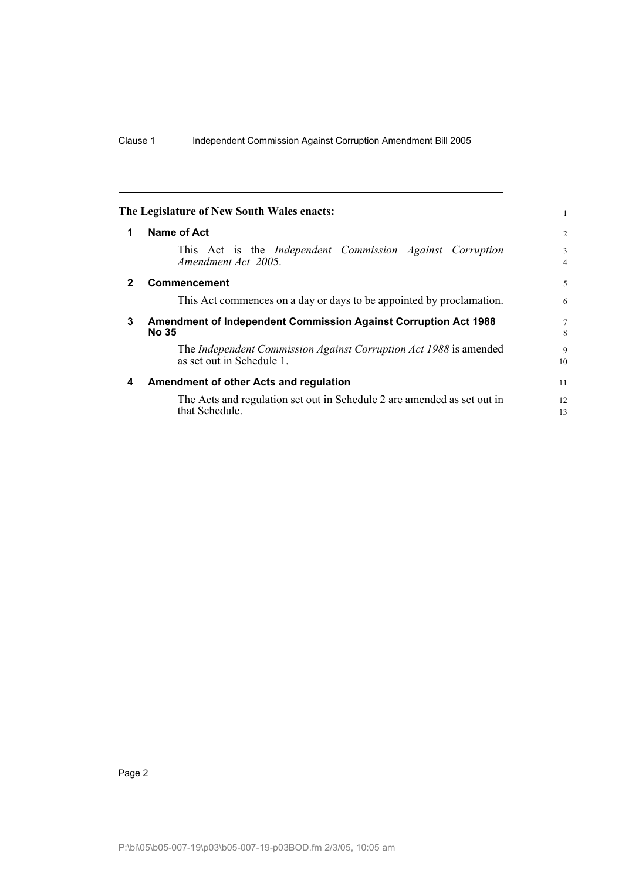<span id="page-2-3"></span><span id="page-2-2"></span><span id="page-2-1"></span><span id="page-2-0"></span>

| The Legislature of New South Wales enacts:                                                     |                     |
|------------------------------------------------------------------------------------------------|---------------------|
| Name of Act                                                                                    | $\overline{c}$      |
| This Act is the <i>Independent</i> Commission <i>Against</i> Corruption<br>Amendment Act 2005. | 3<br>$\overline{4}$ |
| <b>Commencement</b>                                                                            | 5                   |
| This Act commences on a day or days to be appointed by proclamation.                           | 6                   |
| Amendment of Independent Commission Against Corruption Act 1988<br><b>No 35</b>                | 7<br>8              |
| The Independent Commission Against Corruption Act 1988 is amended<br>as set out in Schedule 1. | 9<br>10             |
| Amendment of other Acts and regulation                                                         | 11                  |
| The Acts and regulation set out in Schedule 2 are amended as set out in<br>that Schedule.      | 12<br>13            |
|                                                                                                |                     |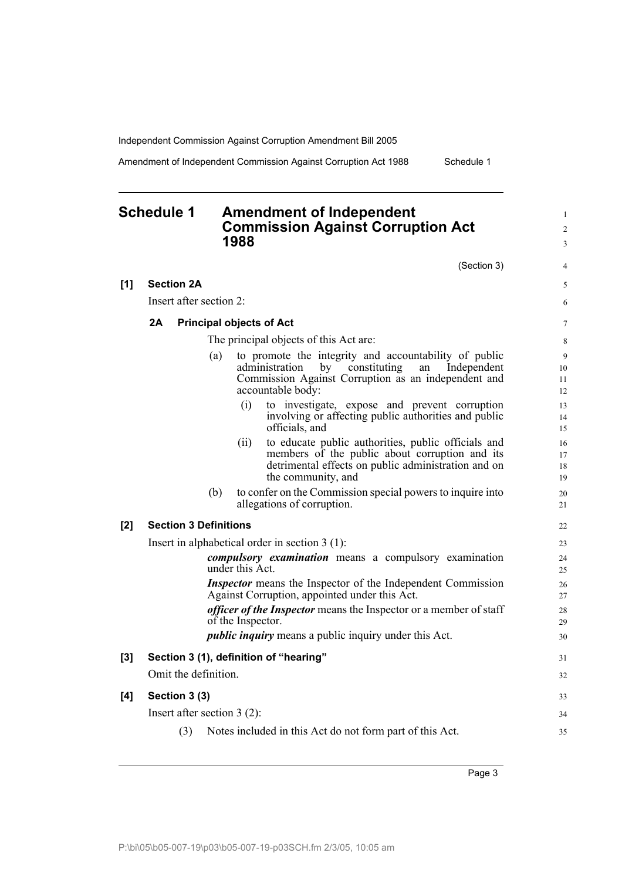**[1] Section 2A**

Amendment of Independent Commission Against Corruption Act 1988 Schedule 1

# <span id="page-3-0"></span>**Schedule 1 Amendment of Independent Commission Against Corruption Act 1988**

(Section 3)

4

1 2 3

|       | Insert after section 2:                |                      |                                 |                                                                                                                                                                                                | 6                    |  |
|-------|----------------------------------------|----------------------|---------------------------------|------------------------------------------------------------------------------------------------------------------------------------------------------------------------------------------------|----------------------|--|
|       | 2A                                     |                      | <b>Principal objects of Act</b> |                                                                                                                                                                                                | $\tau$               |  |
|       | The principal objects of this Act are: |                      |                                 |                                                                                                                                                                                                |                      |  |
|       |                                        |                      | (a)                             | to promote the integrity and accountability of public<br>Independent<br>administration<br>by<br>constituting<br>an<br>Commission Against Corruption as an independent and<br>accountable body: | 9<br>10<br>11<br>12  |  |
|       |                                        |                      | (i)                             | to investigate, expose and prevent corruption<br>involving or affecting public authorities and public<br>officials, and                                                                        | 13<br>14<br>15       |  |
|       |                                        |                      | (ii)                            | to educate public authorities, public officials and<br>members of the public about corruption and its<br>detrimental effects on public administration and on<br>the community, and             | 16<br>17<br>18<br>19 |  |
|       |                                        |                      | (b)                             | to confer on the Commission special powers to inquire into<br>allegations of corruption.                                                                                                       | 20<br>21             |  |
| [2]   |                                        |                      | <b>Section 3 Definitions</b>    |                                                                                                                                                                                                | 22                   |  |
|       |                                        |                      |                                 | Insert in alphabetical order in section $3(1)$ :                                                                                                                                               | 23                   |  |
|       |                                        |                      | under this Act.                 | compulsory examination means a compulsory examination                                                                                                                                          | 24<br>25             |  |
|       |                                        |                      |                                 | Inspector means the Inspector of the Independent Commission<br>Against Corruption, appointed under this Act.                                                                                   | 26<br>27             |  |
|       |                                        |                      | of the Inspector.               | <i>officer of the Inspector</i> means the Inspector or a member of staff                                                                                                                       | 28<br>29             |  |
|       |                                        |                      |                                 | <i>public inquiry</i> means a public inquiry under this Act.                                                                                                                                   | 30                   |  |
| $[3]$ |                                        |                      |                                 | Section 3 (1), definition of "hearing"                                                                                                                                                         | 31                   |  |
|       |                                        | Omit the definition. |                                 |                                                                                                                                                                                                | 32                   |  |
| [4]   |                                        | Section 3 (3)        |                                 |                                                                                                                                                                                                | 33                   |  |
|       |                                        |                      | Insert after section $3(2)$ :   |                                                                                                                                                                                                | 34                   |  |
|       |                                        |                      |                                 |                                                                                                                                                                                                |                      |  |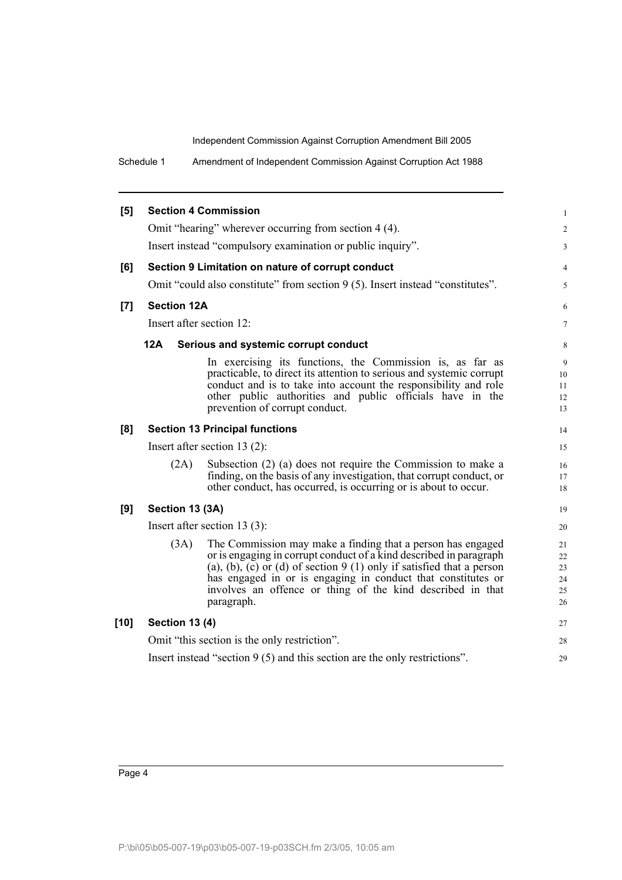Schedule 1 Amendment of Independent Commission Against Corruption Act 1988

| [5]  |                       | <b>Section 4 Commission</b>                                                                                                                                                                                                                                                                                                                             | $\mathbf{1}$                     |
|------|-----------------------|---------------------------------------------------------------------------------------------------------------------------------------------------------------------------------------------------------------------------------------------------------------------------------------------------------------------------------------------------------|----------------------------------|
|      |                       | Omit "hearing" wherever occurring from section 4 (4).                                                                                                                                                                                                                                                                                                   | $\overline{2}$                   |
|      |                       | Insert instead "compulsory examination or public inquiry".                                                                                                                                                                                                                                                                                              | $\overline{3}$                   |
| [6]  |                       | Section 9 Limitation on nature of corrupt conduct                                                                                                                                                                                                                                                                                                       | $\overline{4}$                   |
|      |                       | Omit "could also constitute" from section 9 (5). Insert instead "constitutes".                                                                                                                                                                                                                                                                          | 5                                |
| [7]  | <b>Section 12A</b>    |                                                                                                                                                                                                                                                                                                                                                         | 6                                |
|      |                       | Insert after section 12:                                                                                                                                                                                                                                                                                                                                | $\tau$                           |
|      | <b>12A</b>            | Serious and systemic corrupt conduct                                                                                                                                                                                                                                                                                                                    | 8                                |
|      |                       | In exercising its functions, the Commission is, as far as<br>practicable, to direct its attention to serious and systemic corrupt<br>conduct and is to take into account the responsibility and role<br>other public authorities and public officials have in the<br>prevention of corrupt conduct.                                                     | 9<br>10<br>11<br>12<br>13        |
| [8]  |                       | <b>Section 13 Principal functions</b>                                                                                                                                                                                                                                                                                                                   | 14                               |
|      |                       | Insert after section 13 $(2)$ :                                                                                                                                                                                                                                                                                                                         | 15                               |
|      | (2A)                  | Subsection (2) (a) does not require the Commission to make a<br>finding, on the basis of any investigation, that corrupt conduct, or<br>other conduct, has occurred, is occurring or is about to occur.                                                                                                                                                 | 16<br>17<br>18                   |
| [9]  | Section 13 (3A)       |                                                                                                                                                                                                                                                                                                                                                         | 19                               |
|      |                       | Insert after section 13 $(3)$ :                                                                                                                                                                                                                                                                                                                         | 20                               |
|      | (3A)                  | The Commission may make a finding that a person has engaged<br>or is engaging in corrupt conduct of a kind described in paragraph<br>(a), (b), (c) or (d) of section $9(1)$ only if satisfied that a person<br>has engaged in or is engaging in conduct that constitutes or<br>involves an offence or thing of the kind described in that<br>paragraph. | 21<br>22<br>23<br>24<br>25<br>26 |
| [10] | <b>Section 13 (4)</b> |                                                                                                                                                                                                                                                                                                                                                         | 27                               |
|      |                       | Omit "this section is the only restriction".                                                                                                                                                                                                                                                                                                            | 28                               |
|      |                       | Insert instead "section $9(5)$ and this section are the only restrictions".                                                                                                                                                                                                                                                                             | 29                               |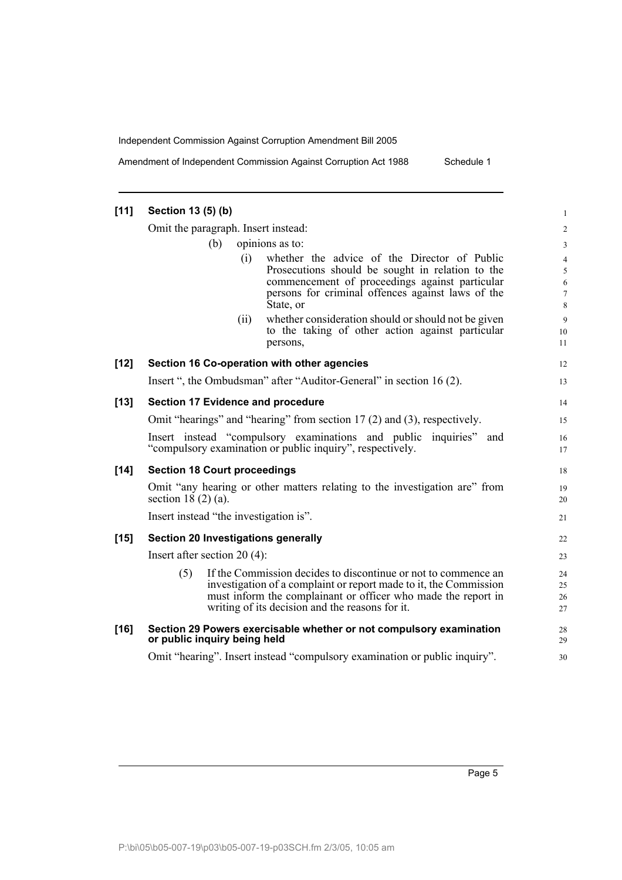Amendment of Independent Commission Against Corruption Act 1988 Schedule 1

| $[11]$ | Section 13 (5) (b)                                                                                                             |                                                                                                                                                                                                                                                         | $\mathbf{1}$                       |  |  |
|--------|--------------------------------------------------------------------------------------------------------------------------------|---------------------------------------------------------------------------------------------------------------------------------------------------------------------------------------------------------------------------------------------------------|------------------------------------|--|--|
|        | Omit the paragraph. Insert instead:                                                                                            |                                                                                                                                                                                                                                                         | $\overline{\mathbf{c}}$            |  |  |
|        | (b)                                                                                                                            | opinions as to:                                                                                                                                                                                                                                         | 3                                  |  |  |
|        |                                                                                                                                | whether the advice of the Director of Public<br>(i)<br>Prosecutions should be sought in relation to the<br>commencement of proceedings against particular<br>persons for criminal offences against laws of the<br>State, or                             | 4<br>5<br>6<br>$\overline{7}$<br>8 |  |  |
|        |                                                                                                                                | whether consideration should or should not be given<br>(ii)<br>to the taking of other action against particular<br>persons,                                                                                                                             | 9<br>10<br>11                      |  |  |
| $[12]$ |                                                                                                                                | Section 16 Co-operation with other agencies                                                                                                                                                                                                             | 12                                 |  |  |
|        |                                                                                                                                | Insert ", the Ombudsman" after "Auditor-General" in section 16 (2).                                                                                                                                                                                     | 13                                 |  |  |
| $[13]$ |                                                                                                                                | <b>Section 17 Evidence and procedure</b>                                                                                                                                                                                                                | 14                                 |  |  |
|        | Omit "hearings" and "hearing" from section 17 (2) and (3), respectively.                                                       |                                                                                                                                                                                                                                                         |                                    |  |  |
|        | Insert instead "compulsory examinations and public inquiries" and<br>"compulsory examination or public inquiry", respectively. |                                                                                                                                                                                                                                                         |                                    |  |  |
| $[14]$ | <b>Section 18 Court proceedings</b>                                                                                            |                                                                                                                                                                                                                                                         | 18                                 |  |  |
|        | Omit "any hearing or other matters relating to the investigation are" from<br>section 18 $(2)$ $(a)$ .                         |                                                                                                                                                                                                                                                         |                                    |  |  |
|        | Insert instead "the investigation is".                                                                                         |                                                                                                                                                                                                                                                         | 21                                 |  |  |
| $[15]$ |                                                                                                                                | Section 20 Investigations generally                                                                                                                                                                                                                     | 22                                 |  |  |
|        | Insert after section $20(4)$ :                                                                                                 |                                                                                                                                                                                                                                                         | 23                                 |  |  |
|        | (5)                                                                                                                            | If the Commission decides to discontinue or not to commence an<br>investigation of a complaint or report made to it, the Commission<br>must inform the complainant or officer who made the report in<br>writing of its decision and the reasons for it. | 24<br>25<br>26<br>27               |  |  |
| $[16]$ | or public inquiry being held                                                                                                   | Section 29 Powers exercisable whether or not compulsory examination                                                                                                                                                                                     | 28<br>29                           |  |  |
|        |                                                                                                                                | Omit "hearing". Insert instead "compulsory examination or public inquiry".                                                                                                                                                                              | 30                                 |  |  |
|        |                                                                                                                                |                                                                                                                                                                                                                                                         |                                    |  |  |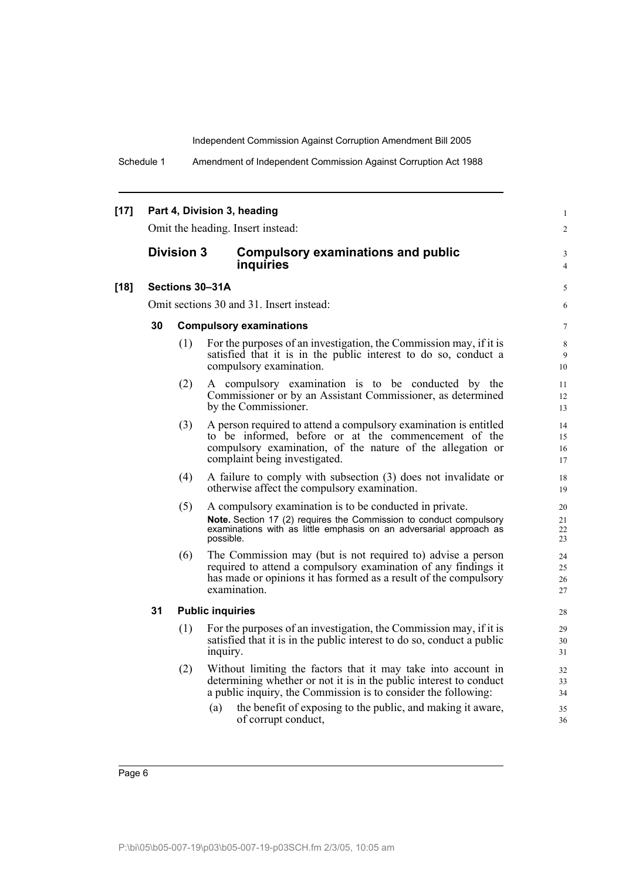1  $\mathfrak{Z}$ 

Schedule 1 Amendment of Independent Commission Against Corruption Act 1988

# **[17] Part 4, Division 3, heading**

Omit the heading. Insert instead:

# **Division 3 Compulsory examinations and public inquiries**

#### **[18] Sections 30–31A**

Omit sections 30 and 31. Insert instead:

### **30 Compulsory examinations**

- (1) For the purposes of an investigation, the Commission may, if it is satisfied that it is in the public interest to do so, conduct a compulsory examination.
- (2) A compulsory examination is to be conducted by the Commissioner or by an Assistant Commissioner, as determined by the Commissioner.
- (3) A person required to attend a compulsory examination is entitled to be informed, before or at the commencement of the compulsory examination, of the nature of the allegation or complaint being investigated.
- (4) A failure to comply with subsection (3) does not invalidate or otherwise affect the compulsory examination.
- (5) A compulsory examination is to be conducted in private. **Note.** Section 17 (2) requires the Commission to conduct compulsory examinations with as little emphasis on an adversarial approach as possible.
- (6) The Commission may (but is not required to) advise a person required to attend a compulsory examination of any findings it has made or opinions it has formed as a result of the compulsory examination.

### **31 Public inquiries**

- (1) For the purposes of an investigation, the Commission may, if it is satisfied that it is in the public interest to do so, conduct a public inquiry.
- (2) Without limiting the factors that it may take into account in determining whether or not it is in the public interest to conduct a public inquiry, the Commission is to consider the following:
	- (a) the benefit of exposing to the public, and making it aware, of corrupt conduct,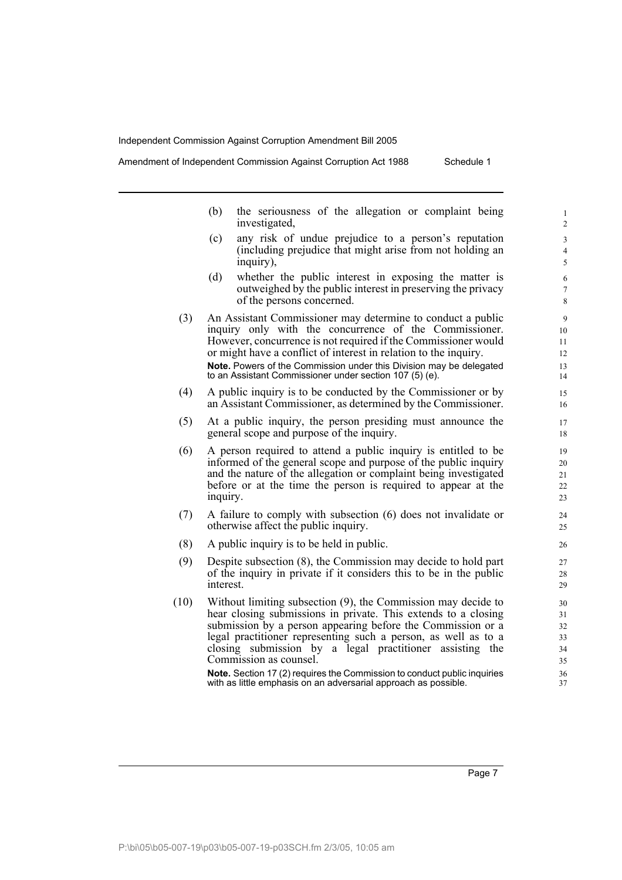Amendment of Independent Commission Against Corruption Act 1988 Schedule 1

- (b) the seriousness of the allegation or complaint being investigated,
- (c) any risk of undue prejudice to a person's reputation (including prejudice that might arise from not holding an inquiry),
- (d) whether the public interest in exposing the matter is outweighed by the public interest in preserving the privacy of the persons concerned.
- (3) An Assistant Commissioner may determine to conduct a public inquiry only with the concurrence of the Commissioner. However, concurrence is not required if the Commissioner would or might have a conflict of interest in relation to the inquiry. **Note.** Powers of the Commission under this Division may be delegated to an Assistant Commissioner under section 107 (5) (e).
- (4) A public inquiry is to be conducted by the Commissioner or by an Assistant Commissioner, as determined by the Commissioner.
- (5) At a public inquiry, the person presiding must announce the general scope and purpose of the inquiry.
- (6) A person required to attend a public inquiry is entitled to be informed of the general scope and purpose of the public inquiry and the nature of the allegation or complaint being investigated before or at the time the person is required to appear at the inquiry.
- (7) A failure to comply with subsection (6) does not invalidate or otherwise affect the public inquiry.
- (8) A public inquiry is to be held in public.
- (9) Despite subsection (8), the Commission may decide to hold part of the inquiry in private if it considers this to be in the public interest.
- (10) Without limiting subsection (9), the Commission may decide to hear closing submissions in private. This extends to a closing submission by a person appearing before the Commission or a legal practitioner representing such a person, as well as to a closing submission by a legal practitioner assisting the Commission as counsel.

**Note.** Section 17 (2) requires the Commission to conduct public inquiries with as little emphasis on an adversarial approach as possible.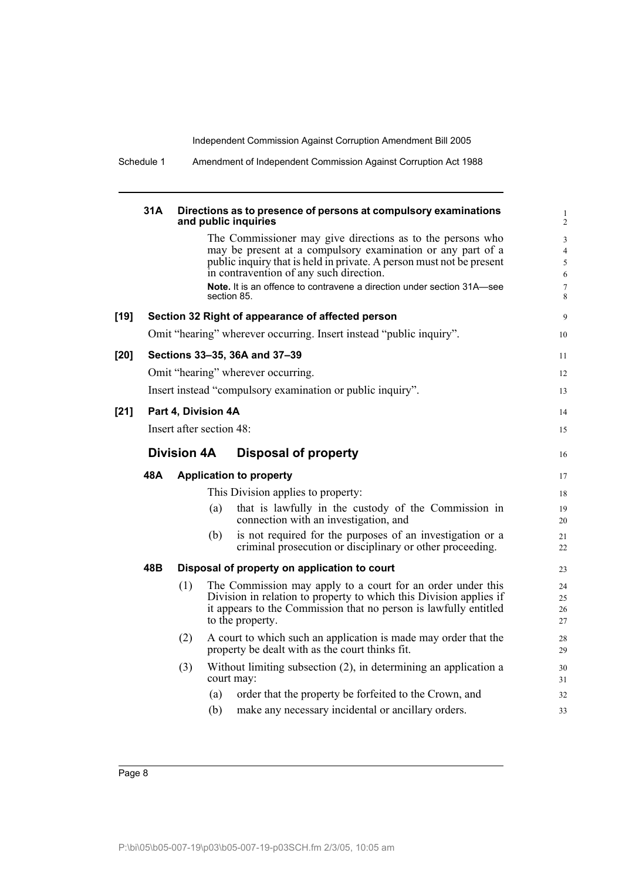|        | 31A |                          |     | Directions as to presence of persons at compulsory examinations<br>and public inquiries                                                                                                                                                      |
|--------|-----|--------------------------|-----|----------------------------------------------------------------------------------------------------------------------------------------------------------------------------------------------------------------------------------------------|
|        |     |                          |     | The Commissioner may give directions as to the persons who<br>may be present at a compulsory examination or any part of a<br>public inquiry that is held in private. A person must not be present<br>in contravention of any such direction. |
|        |     |                          |     | <b>Note.</b> It is an offence to contravene a direction under section 31A—see<br>section 85.                                                                                                                                                 |
| $[19]$ |     |                          |     | Section 32 Right of appearance of affected person                                                                                                                                                                                            |
|        |     |                          |     | Omit "hearing" wherever occurring. Insert instead "public inquiry".                                                                                                                                                                          |
| [20]   |     |                          |     | Sections 33-35, 36A and 37-39                                                                                                                                                                                                                |
|        |     |                          |     | Omit "hearing" wherever occurring.                                                                                                                                                                                                           |
|        |     |                          |     | Insert instead "compulsory examination or public inquiry".                                                                                                                                                                                   |
| $[21]$ |     | Part 4, Division 4A      |     |                                                                                                                                                                                                                                              |
|        |     | Insert after section 48: |     |                                                                                                                                                                                                                                              |
|        |     | <b>Division 4A</b>       |     | <b>Disposal of property</b>                                                                                                                                                                                                                  |
|        | 48A |                          |     | <b>Application to property</b>                                                                                                                                                                                                               |
|        |     |                          |     | This Division applies to property:                                                                                                                                                                                                           |
|        |     |                          | (a) | that is lawfully in the custody of the Commission in<br>connection with an investigation, and                                                                                                                                                |
|        |     |                          | (b) | is not required for the purposes of an investigation or a<br>criminal prosecution or disciplinary or other proceeding.                                                                                                                       |
|        | 48B |                          |     | Disposal of property on application to court                                                                                                                                                                                                 |
|        |     | (1)                      |     | The Commission may apply to a court for an order under this<br>Division in relation to property to which this Division applies if<br>it appears to the Commission that no person is lawfully entitled<br>to the property.                    |
|        |     | (2)                      |     | A court to which such an application is made may order that the<br>property be dealt with as the court thinks fit.                                                                                                                           |
|        |     | (3)                      |     | Without limiting subsection (2), in determining an application a<br>court may:                                                                                                                                                               |
|        |     |                          | (a) | order that the property be forfeited to the Crown, and                                                                                                                                                                                       |
|        |     |                          | (b) | make any necessary incidental or ancillary orders.                                                                                                                                                                                           |

Schedule 1 Amendment of Independent Commission Against Corruption Act 1988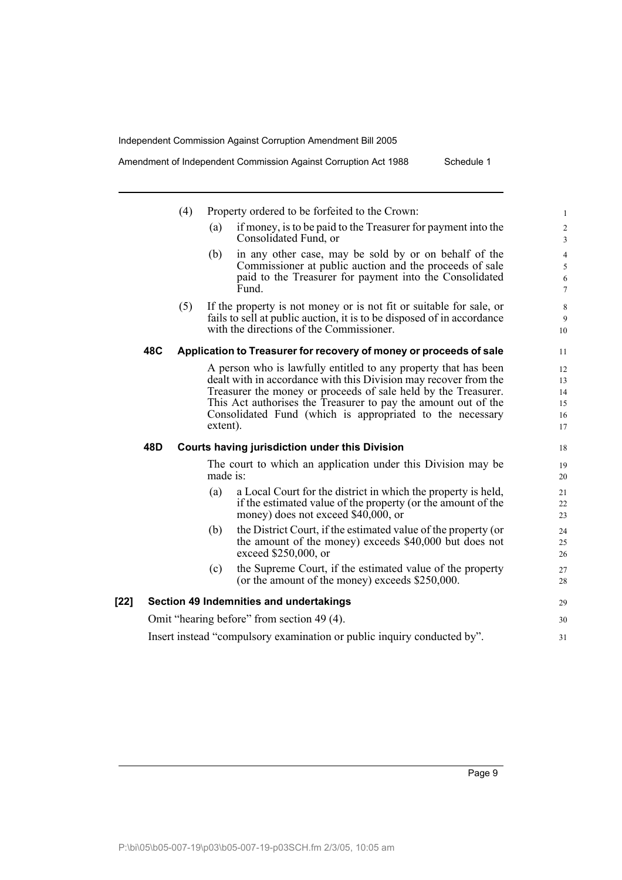|      |     | (4) | Property ordered to be forfeited to the Crown:                                                                                                                                                                                                                                                                                                   | 1                                                    |
|------|-----|-----|--------------------------------------------------------------------------------------------------------------------------------------------------------------------------------------------------------------------------------------------------------------------------------------------------------------------------------------------------|------------------------------------------------------|
|      |     |     | if money, is to be paid to the Treasurer for payment into the<br>(a)<br>Consolidated Fund, or                                                                                                                                                                                                                                                    | $\boldsymbol{2}$<br>$\overline{3}$                   |
|      |     |     | in any other case, may be sold by or on behalf of the<br>(b)<br>Commissioner at public auction and the proceeds of sale<br>paid to the Treasurer for payment into the Consolidated<br>Fund.                                                                                                                                                      | $\overline{4}$<br>5<br>$\sqrt{6}$<br>$7\phantom{.0}$ |
|      |     | (5) | If the property is not money or is not fit or suitable for sale, or<br>fails to sell at public auction, it is to be disposed of in accordance<br>with the directions of the Commissioner.                                                                                                                                                        | $\,8\,$<br>9<br>10                                   |
|      | 48C |     | Application to Treasurer for recovery of money or proceeds of sale                                                                                                                                                                                                                                                                               | 11                                                   |
|      |     |     | A person who is lawfully entitled to any property that has been<br>dealt with in accordance with this Division may recover from the<br>Treasurer the money or proceeds of sale held by the Treasurer.<br>This Act authorises the Treasurer to pay the amount out of the<br>Consolidated Fund (which is appropriated to the necessary<br>extent). | 12<br>13<br>14<br>15<br>16<br>17                     |
|      | 48D |     | <b>Courts having jurisdiction under this Division</b>                                                                                                                                                                                                                                                                                            | 18                                                   |
|      |     |     | The court to which an application under this Division may be<br>made is:                                                                                                                                                                                                                                                                         | 19<br>20                                             |
|      |     |     | a Local Court for the district in which the property is held,<br>(a)<br>if the estimated value of the property (or the amount of the<br>money) does not exceed $$40,000$ , or                                                                                                                                                                    | 21<br>22<br>23                                       |
|      |     |     | the District Court, if the estimated value of the property (or<br>(b)<br>the amount of the money) exceeds \$40,000 but does not<br>exceed \$250,000, or                                                                                                                                                                                          | 24<br>25<br>26                                       |
|      |     |     | the Supreme Court, if the estimated value of the property<br>(c)<br>(or the amount of the money) exceeds \$250,000.                                                                                                                                                                                                                              | 27<br>28                                             |
| [22] |     |     | Section 49 Indemnities and undertakings                                                                                                                                                                                                                                                                                                          | 29                                                   |
|      |     |     | Omit "hearing before" from section 49 (4).                                                                                                                                                                                                                                                                                                       | 30                                                   |
|      |     |     | Insert instead "compulsory examination or public inquiry conducted by".                                                                                                                                                                                                                                                                          | 31                                                   |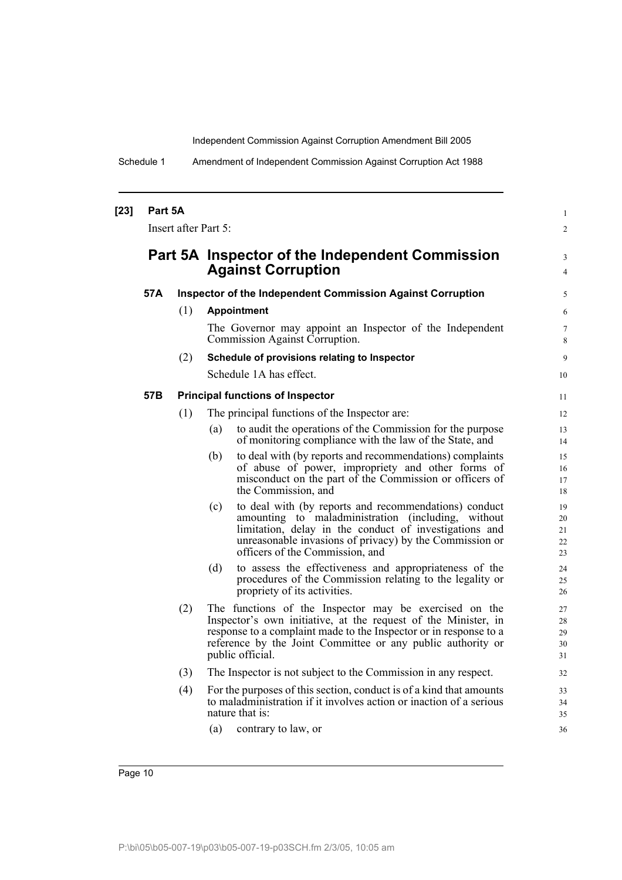Schedule 1 Amendment of Independent Commission Against Corruption Act 1988

| $[23]$ | Part 5A | Insert after Part 5: |                                                                                                                                                                                                                                                                                  | $\mathbf{1}$<br>$\overline{2}$ |
|--------|---------|----------------------|----------------------------------------------------------------------------------------------------------------------------------------------------------------------------------------------------------------------------------------------------------------------------------|--------------------------------|
|        |         |                      | Part 5A Inspector of the Independent Commission<br><b>Against Corruption</b>                                                                                                                                                                                                     | 3<br>$\overline{4}$            |
|        | 57A     |                      | <b>Inspector of the Independent Commission Against Corruption</b>                                                                                                                                                                                                                | 5                              |
|        |         | (1)                  | <b>Appointment</b>                                                                                                                                                                                                                                                               | 6                              |
|        |         |                      | The Governor may appoint an Inspector of the Independent<br>Commission Against Corruption.                                                                                                                                                                                       | $\tau$<br>8                    |
|        |         | (2)                  | Schedule of provisions relating to Inspector                                                                                                                                                                                                                                     | 9                              |
|        |         |                      | Schedule 1A has effect.                                                                                                                                                                                                                                                          | 10                             |
|        | 57B     |                      | <b>Principal functions of Inspector</b>                                                                                                                                                                                                                                          | 11                             |
|        |         | (1)                  | The principal functions of the Inspector are:                                                                                                                                                                                                                                    | 12                             |
|        |         |                      | to audit the operations of the Commission for the purpose<br>(a)<br>of monitoring compliance with the law of the State, and                                                                                                                                                      | 13<br>14                       |
|        |         |                      | to deal with (by reports and recommendations) complaints<br>(b)<br>of abuse of power, impropriety and other forms of<br>misconduct on the part of the Commission or officers of<br>the Commission, and                                                                           | 15<br>16<br>17<br>18           |
|        |         |                      | to deal with (by reports and recommendations) conduct<br>(c)<br>amounting to maladministration (including, without<br>limitation, delay in the conduct of investigations and<br>unreasonable invasions of privacy) by the Commission or<br>officers of the Commission, and       | 19<br>20<br>21<br>22<br>23     |
|        |         |                      | (d)<br>to assess the effectiveness and appropriateness of the<br>procedures of the Commission relating to the legality or<br>propriety of its activities.                                                                                                                        | 24<br>25<br>26                 |
|        |         | (2)                  | The functions of the Inspector may be exercised on the<br>Inspector's own initiative, at the request of the Minister, in<br>response to a complaint made to the Inspector or in response to a<br>reference by the Joint Committee or any public authority or<br>public official. | 27<br>28<br>29<br>30<br>31     |
|        |         | (3)                  | The Inspector is not subject to the Commission in any respect.                                                                                                                                                                                                                   | 32                             |
|        |         | (4)                  | For the purposes of this section, conduct is of a kind that amounts<br>to maladministration if it involves action or inaction of a serious<br>nature that is:                                                                                                                    | 33<br>34<br>35                 |
|        |         |                      | (a)<br>contrary to law, or                                                                                                                                                                                                                                                       | 36                             |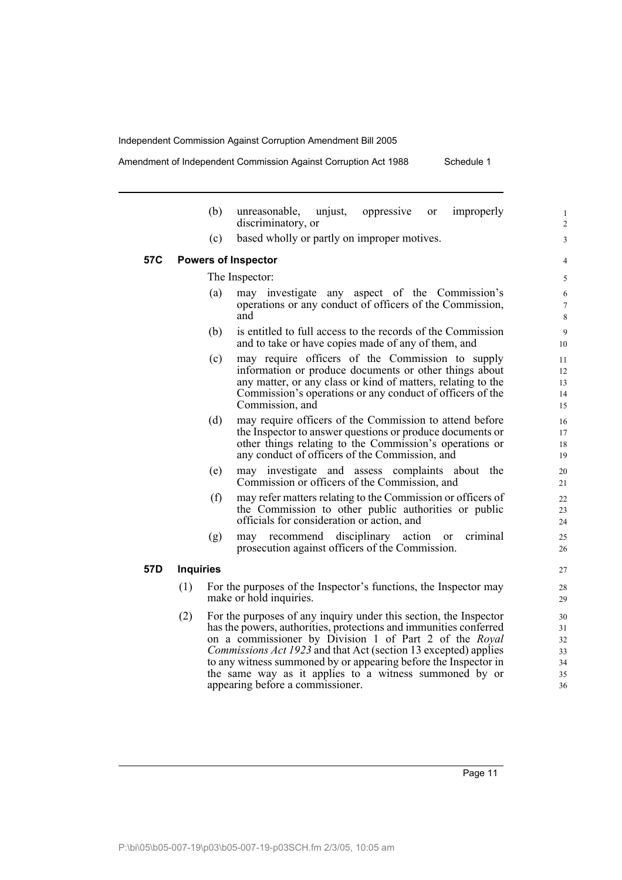Amendment of Independent Commission Against Corruption Act 1988 Schedule 1

|     |                  | (b) | unreasonable,<br>improperly<br>unjust,<br>oppressive<br>or<br>discriminatory, or                                                                                                                                                                                                                                                                                                                                                            |
|-----|------------------|-----|---------------------------------------------------------------------------------------------------------------------------------------------------------------------------------------------------------------------------------------------------------------------------------------------------------------------------------------------------------------------------------------------------------------------------------------------|
|     |                  | (c) | based wholly or partly on improper motives.                                                                                                                                                                                                                                                                                                                                                                                                 |
| 57C |                  |     | <b>Powers of Inspector</b>                                                                                                                                                                                                                                                                                                                                                                                                                  |
|     |                  |     | The Inspector:                                                                                                                                                                                                                                                                                                                                                                                                                              |
|     |                  | (a) | may investigate any aspect of the Commission's<br>operations or any conduct of officers of the Commission,<br>and                                                                                                                                                                                                                                                                                                                           |
|     |                  | (b) | is entitled to full access to the records of the Commission<br>and to take or have copies made of any of them, and                                                                                                                                                                                                                                                                                                                          |
|     |                  | (c) | may require officers of the Commission to supply<br>information or produce documents or other things about<br>any matter, or any class or kind of matters, relating to the<br>Commission's operations or any conduct of officers of the<br>Commission, and                                                                                                                                                                                  |
|     |                  | (d) | may require officers of the Commission to attend before<br>the Inspector to answer questions or produce documents or<br>other things relating to the Commission's operations or<br>any conduct of officers of the Commission, and                                                                                                                                                                                                           |
|     |                  | (e) | may investigate and assess complaints about<br>the<br>Commission or officers of the Commission, and                                                                                                                                                                                                                                                                                                                                         |
|     |                  | (f) | may refer matters relating to the Commission or officers of<br>the Commission to other public authorities or public<br>officials for consideration or action, and                                                                                                                                                                                                                                                                           |
|     |                  | (g) | disciplinary<br>recommend<br>action<br>criminal<br>may<br><sub>or</sub><br>prosecution against officers of the Commission.                                                                                                                                                                                                                                                                                                                  |
| 57D | <b>Inquiries</b> |     |                                                                                                                                                                                                                                                                                                                                                                                                                                             |
|     | (1)              |     | For the purposes of the Inspector's functions, the Inspector may<br>make or hold inquiries.                                                                                                                                                                                                                                                                                                                                                 |
|     | (2)              |     | For the purposes of any inquiry under this section, the Inspector<br>has the powers, authorities, protections and immunities conferred<br>on a commissioner by Division 1 of Part 2 of the Royal<br><i>Commissions Act 1923</i> and that Act (section 13 excepted) applies<br>to any witness summoned by or appearing before the Inspector in<br>the same way as it applies to a witness summoned by or<br>appearing before a commissioner. |

Page 11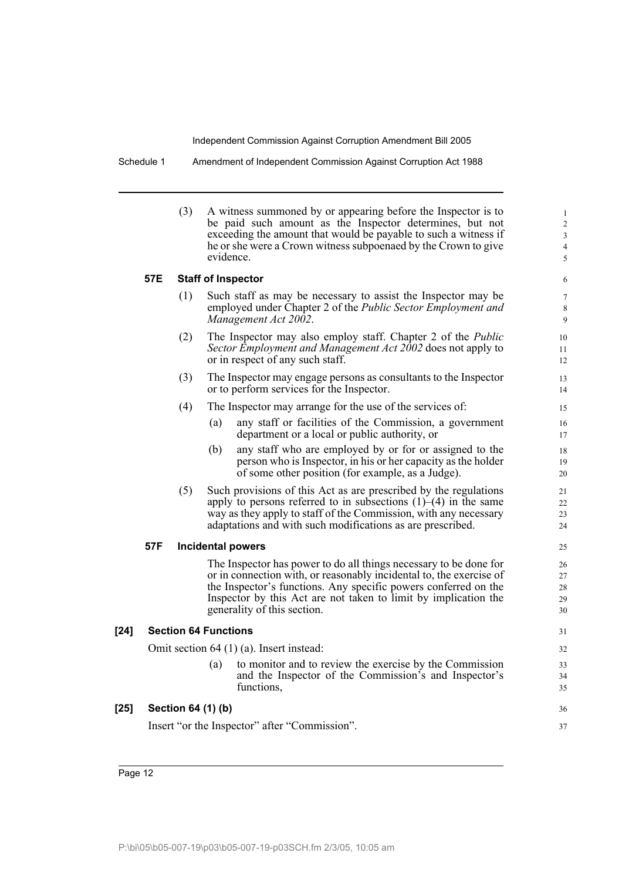Schedule 1 Amendment of Independent Commission Against Corruption Act 1988

| (3) | A witness summoned by or appearing before the Inspector is to   |
|-----|-----------------------------------------------------------------|
|     | be paid such amount as the Inspector determines, but not        |
|     | exceeding the amount that would be payable to such a witness if |
|     | he or she were a Crown witness subpoenaed by the Crown to give  |
|     | evidence.                                                       |

36 37

# **57E Staff of Inspector**

- (1) Such staff as may be necessary to assist the Inspector may be employed under Chapter 2 of the *Public Sector Employment and Management Act 2002*.
- (2) The Inspector may also employ staff. Chapter 2 of the *Public Sector Employment and Management Act 2002* does not apply to or in respect of any such staff.
- (3) The Inspector may engage persons as consultants to the Inspector or to perform services for the Inspector.
- (4) The Inspector may arrange for the use of the services of:
	- (a) any staff or facilities of the Commission, a government department or a local or public authority, or
	- (b) any staff who are employed by or for or assigned to the person who is Inspector, in his or her capacity as the holder of some other position (for example, as a Judge).
- (5) Such provisions of this Act as are prescribed by the regulations apply to persons referred to in subsections  $(1)$ – $(4)$  in the same way as they apply to staff of the Commission, with any necessary adaptations and with such modifications as are prescribed.

### **57F Incidental powers**

The Inspector has power to do all things necessary to be done for or in connection with, or reasonably incidental to, the exercise of the Inspector's functions. Any specific powers conferred on the Inspector by this Act are not taken to limit by implication the generality of this section.

### **[24] Section 64 Functions**

Omit section 64 (1) (a). Insert instead:

(a) to monitor and to review the exercise by the Commission and the Inspector of the Commission's and Inspector's functions,

# **[25] Section 64 (1) (b)**

Insert "or the Inspector" after "Commission".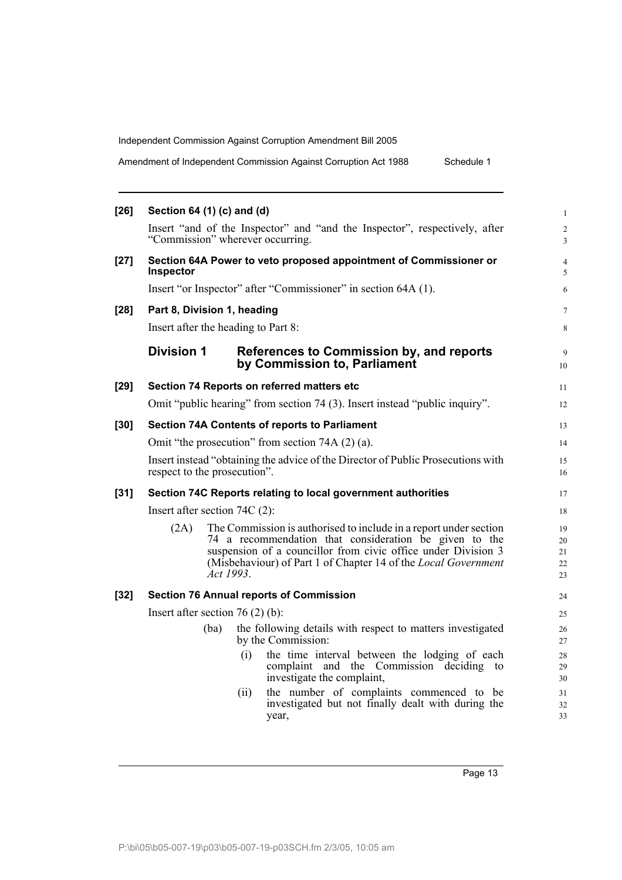| Amendment of Independent Commission Against Corruption Act 1988 | Schedule 1 |
|-----------------------------------------------------------------|------------|
|                                                                 |            |

| $[26]$ | Section 64 (1) (c) and (d)                                                                                                                                                                                                                                                                 | $\mathbf{1}$               |
|--------|--------------------------------------------------------------------------------------------------------------------------------------------------------------------------------------------------------------------------------------------------------------------------------------------|----------------------------|
|        | Insert "and of the Inspector" and "and the Inspector", respectively, after<br>"Commission" wherever occurring.                                                                                                                                                                             | $\overline{c}$<br>3        |
| $[27]$ | Section 64A Power to veto proposed appointment of Commissioner or<br><b>Inspector</b>                                                                                                                                                                                                      | $\overline{4}$<br>5        |
|        | Insert "or Inspector" after "Commissioner" in section 64A (1).                                                                                                                                                                                                                             | 6                          |
| $[28]$ | Part 8, Division 1, heading                                                                                                                                                                                                                                                                | 7                          |
|        | Insert after the heading to Part 8:                                                                                                                                                                                                                                                        | $\,8\,$                    |
|        | <b>Division 1</b><br>References to Commission by, and reports<br>by Commission to, Parliament                                                                                                                                                                                              | 9<br>10                    |
| $[29]$ | Section 74 Reports on referred matters etc                                                                                                                                                                                                                                                 | 11                         |
|        | Omit "public hearing" from section 74 (3). Insert instead "public inquiry".                                                                                                                                                                                                                | 12                         |
| $[30]$ | <b>Section 74A Contents of reports to Parliament</b>                                                                                                                                                                                                                                       | 13                         |
|        | Omit "the prosecution" from section 74A (2) (a).                                                                                                                                                                                                                                           | 14                         |
|        | Insert instead "obtaining the advice of the Director of Public Prosecutions with<br>respect to the prosecution".                                                                                                                                                                           | 15<br>16                   |
| $[31]$ | Section 74C Reports relating to local government authorities                                                                                                                                                                                                                               | 17                         |
|        | Insert after section $74C(2)$ :                                                                                                                                                                                                                                                            | 18                         |
|        | The Commission is authorised to include in a report under section<br>(2A)<br>74 a recommendation that consideration be given to the<br>suspension of a councillor from civic office under Division 3<br>(Misbehaviour) of Part 1 of Chapter 14 of the <i>Local Government</i><br>Act 1993. | 19<br>20<br>21<br>22<br>23 |
| $[32]$ | <b>Section 76 Annual reports of Commission</b>                                                                                                                                                                                                                                             | 24                         |
|        | Insert after section $76(2)$ (b):                                                                                                                                                                                                                                                          | 25                         |
|        | the following details with respect to matters investigated<br>(ba)<br>by the Commission:                                                                                                                                                                                                   | 26<br>27                   |
|        | the time interval between the lodging of each<br>(i)<br>complaint and the Commission deciding<br>to<br>investigate the complaint,                                                                                                                                                          | 28<br>29<br>30             |
|        | the number of complaints commenced to be<br>(ii)<br>investigated but not finally dealt with during the<br>year,                                                                                                                                                                            | 31<br>32<br>33             |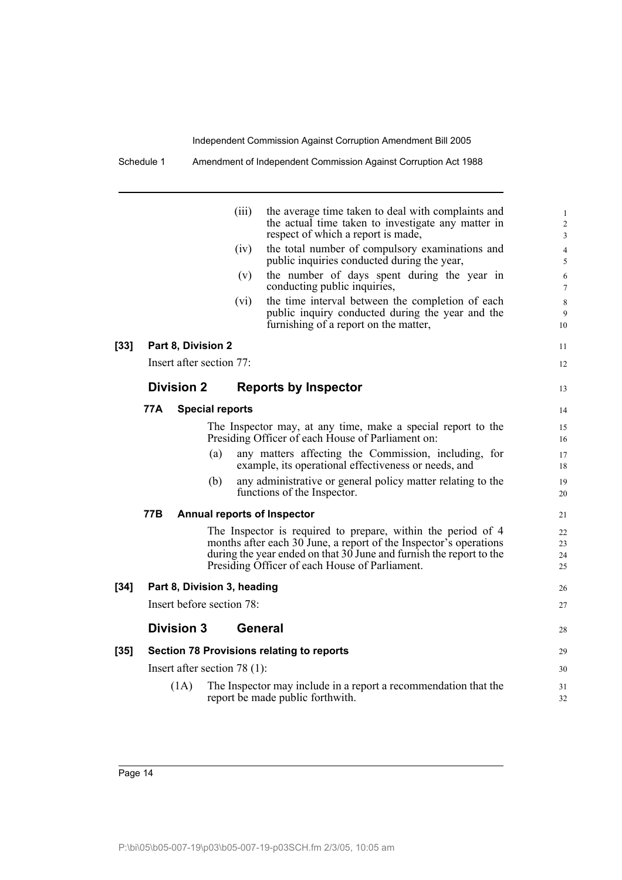Schedule 1 Amendment of Independent Commission Against Corruption Act 1988

| $[33]$ |            | Part 8, Division 2 |                                | (iii)<br>(iv)<br>(v)<br>(vi) | the average time taken to deal with complaints and<br>the actual time taken to investigate any matter in<br>respect of which a report is made,<br>the total number of compulsory examinations and<br>public inquiries conducted during the year,<br>the number of days spent during the year in<br>conducting public inquiries,<br>the time interval between the completion of each<br>public inquiry conducted during the year and the<br>furnishing of a report on the matter, | 1<br>$\overline{2}$<br>3<br>$\overline{4}$<br>5<br>6<br>$\tau$<br>8<br>9<br>10<br>11 |
|--------|------------|--------------------|--------------------------------|------------------------------|----------------------------------------------------------------------------------------------------------------------------------------------------------------------------------------------------------------------------------------------------------------------------------------------------------------------------------------------------------------------------------------------------------------------------------------------------------------------------------|--------------------------------------------------------------------------------------|
|        |            |                    | Insert after section 77:       |                              |                                                                                                                                                                                                                                                                                                                                                                                                                                                                                  | 12                                                                                   |
|        |            | <b>Division 2</b>  |                                |                              | <b>Reports by Inspector</b>                                                                                                                                                                                                                                                                                                                                                                                                                                                      | 13                                                                                   |
|        | 77A        |                    | <b>Special reports</b>         |                              |                                                                                                                                                                                                                                                                                                                                                                                                                                                                                  | 14                                                                                   |
|        |            |                    |                                |                              | The Inspector may, at any time, make a special report to the<br>Presiding Officer of each House of Parliament on:                                                                                                                                                                                                                                                                                                                                                                | 15<br>16                                                                             |
|        |            |                    | (a)                            |                              | any matters affecting the Commission, including, for<br>example, its operational effectiveness or needs, and                                                                                                                                                                                                                                                                                                                                                                     | 17<br>18                                                                             |
|        |            |                    | (b)                            |                              | any administrative or general policy matter relating to the<br>functions of the Inspector.                                                                                                                                                                                                                                                                                                                                                                                       | 19<br>20                                                                             |
|        | <b>77B</b> |                    |                                |                              | Annual reports of Inspector                                                                                                                                                                                                                                                                                                                                                                                                                                                      | 21                                                                                   |
|        |            |                    |                                |                              | The Inspector is required to prepare, within the period of 4<br>months after each 30 June, a report of the Inspector's operations<br>during the year ended on that $30$ June and furnish the report to the<br>Presiding Officer of each House of Parliament.                                                                                                                                                                                                                     | 22<br>23<br>24<br>25                                                                 |
| $[34]$ |            |                    | Part 8, Division 3, heading    |                              |                                                                                                                                                                                                                                                                                                                                                                                                                                                                                  | 26                                                                                   |
|        |            |                    | Insert before section 78:      |                              |                                                                                                                                                                                                                                                                                                                                                                                                                                                                                  | 27                                                                                   |
|        |            | <b>Division 3</b>  |                                | General                      |                                                                                                                                                                                                                                                                                                                                                                                                                                                                                  | 28                                                                                   |
| $[35]$ |            |                    |                                |                              | <b>Section 78 Provisions relating to reports</b>                                                                                                                                                                                                                                                                                                                                                                                                                                 | 29                                                                                   |
|        |            |                    | Insert after section $78(1)$ : |                              |                                                                                                                                                                                                                                                                                                                                                                                                                                                                                  | 30                                                                                   |
|        |            | (1A)               |                                |                              | The Inspector may include in a report a recommendation that the<br>report be made public forthwith.                                                                                                                                                                                                                                                                                                                                                                              | 31<br>32                                                                             |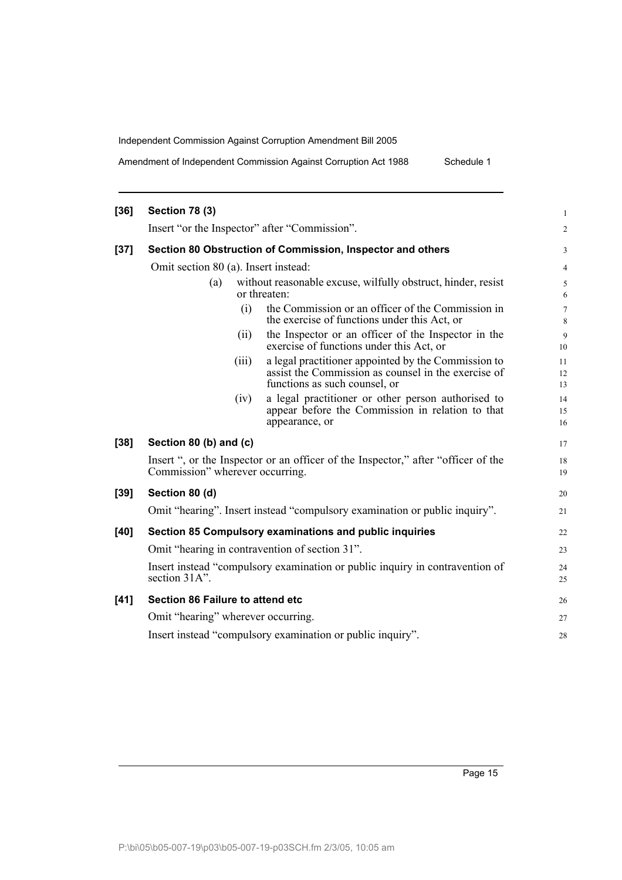Amendment of Independent Commission Against Corruption Act 1988 Schedule 1

| $[36]$ | <b>Section 78 (3)</b>            |                                                                                                                                                      |                |
|--------|----------------------------------|------------------------------------------------------------------------------------------------------------------------------------------------------|----------------|
|        |                                  | Insert "or the Inspector" after "Commission".                                                                                                        |                |
| $[37]$ |                                  | Section 80 Obstruction of Commission, Inspector and others                                                                                           |                |
|        |                                  | Omit section 80 (a). Insert instead:                                                                                                                 |                |
|        | (a)                              | without reasonable excuse, wilfully obstruct, hinder, resist<br>or threaten:                                                                         |                |
|        |                                  | the Commission or an officer of the Commission in<br>(i)<br>the exercise of functions under this Act, or                                             |                |
|        |                                  | the Inspector or an officer of the Inspector in the<br>(ii)<br>exercise of functions under this Act, or                                              | 10             |
|        |                                  | a legal practitioner appointed by the Commission to<br>(iii)<br>assist the Commission as counsel in the exercise of<br>functions as such counsel, or | 11<br>12<br>13 |
|        |                                  | a legal practitioner or other person authorised to<br>(iv)<br>appear before the Commission in relation to that<br>appearance, or                     | 15             |
| $[38]$ | Section 80 (b) and (c)           |                                                                                                                                                      | 17             |
|        | Commission" wherever occurring.  | Insert ", or the Inspector or an officer of the Inspector," after "officer of the                                                                    | 18<br>19       |
| $[39]$ | Section 80 (d)                   |                                                                                                                                                      | 20             |
|        |                                  | Omit "hearing". Insert instead "compulsory examination or public inquiry".                                                                           | 21             |
| [40]   |                                  | Section 85 Compulsory examinations and public inquiries                                                                                              | 22             |
|        |                                  | Omit "hearing in contravention of section 31".                                                                                                       | 23             |
|        | section 31A".                    | Insert instead "compulsory examination or public inquiry in contravention of                                                                         | 25             |
| [41]   | Section 86 Failure to attend etc |                                                                                                                                                      | 26             |
|        |                                  | Omit "hearing" wherever occurring.                                                                                                                   | 27             |
|        |                                  | Insert instead "compulsory examination or public inquiry".                                                                                           | 28             |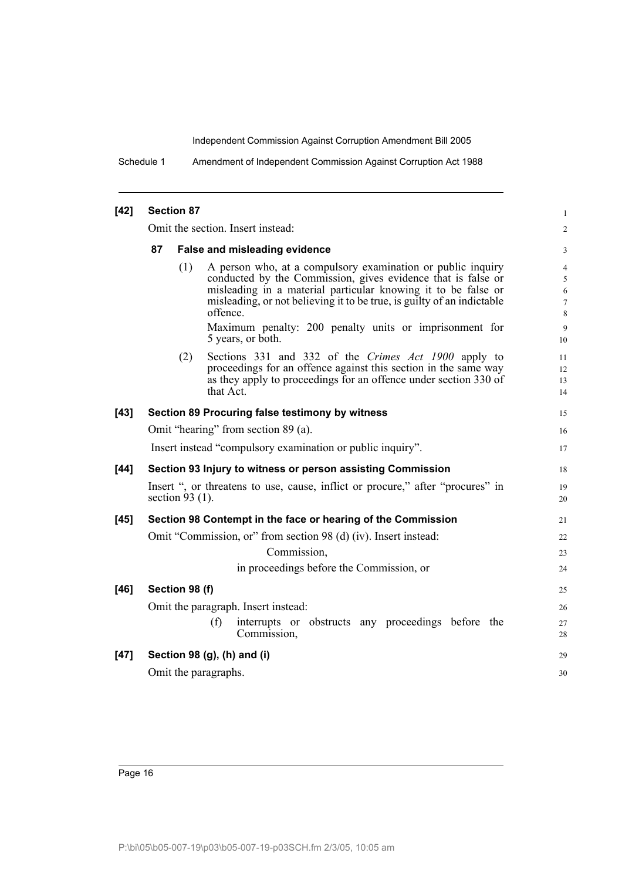Schedule 1 Amendment of Independent Commission Against Corruption Act 1988

| $[42]$ | <b>Section 87</b>    |                                                                                                                                                                                                                                                                                    |                                                        |  |  |  |
|--------|----------------------|------------------------------------------------------------------------------------------------------------------------------------------------------------------------------------------------------------------------------------------------------------------------------------|--------------------------------------------------------|--|--|--|
|        |                      | Omit the section. Insert instead:                                                                                                                                                                                                                                                  | $\sqrt{2}$                                             |  |  |  |
|        | 87                   | False and misleading evidence                                                                                                                                                                                                                                                      | 3                                                      |  |  |  |
|        | (1)                  | A person who, at a compulsory examination or public inquiry<br>conducted by the Commission, gives evidence that is false or<br>misleading in a material particular knowing it to be false or<br>misleading, or not believing it to be true, is guilty of an indictable<br>offence. | $\overline{4}$<br>5<br>$\sqrt{6}$<br>$\tau$<br>$\,8\,$ |  |  |  |
|        |                      | Maximum penalty: 200 penalty units or imprisonment for<br>5 years, or both.                                                                                                                                                                                                        | 9<br>10                                                |  |  |  |
|        | (2)                  | Sections 331 and 332 of the Crimes Act 1900 apply to<br>proceedings for an offence against this section in the same way<br>as they apply to proceedings for an offence under section 330 of<br>that Act.                                                                           | 11<br>12<br>13<br>14                                   |  |  |  |
| $[43]$ |                      | Section 89 Procuring false testimony by witness                                                                                                                                                                                                                                    | 15                                                     |  |  |  |
|        |                      | Omit "hearing" from section 89 (a).                                                                                                                                                                                                                                                | 16                                                     |  |  |  |
|        |                      | Insert instead "compulsory examination or public inquiry".                                                                                                                                                                                                                         | 17                                                     |  |  |  |
| $[44]$ |                      | Section 93 Injury to witness or person assisting Commission                                                                                                                                                                                                                        | 18                                                     |  |  |  |
|        | section 93 $(1)$ .   | Insert ", or threatens to use, cause, inflict or procure," after "procures" in                                                                                                                                                                                                     | 19<br>20                                               |  |  |  |
| $[45]$ |                      | Section 98 Contempt in the face or hearing of the Commission                                                                                                                                                                                                                       | 21                                                     |  |  |  |
|        |                      | Omit "Commission, or" from section 98 (d) (iv). Insert instead:                                                                                                                                                                                                                    | 22                                                     |  |  |  |
|        |                      | Commission,                                                                                                                                                                                                                                                                        | 23                                                     |  |  |  |
|        |                      | in proceedings before the Commission, or                                                                                                                                                                                                                                           | 24                                                     |  |  |  |
| [46]   | Section 98 (f)       |                                                                                                                                                                                                                                                                                    | 25                                                     |  |  |  |
|        |                      | Omit the paragraph. Insert instead:                                                                                                                                                                                                                                                | 26                                                     |  |  |  |
|        |                      | (f)<br>interrupts or obstructs any proceedings before the<br>Commission,                                                                                                                                                                                                           | 27<br>28                                               |  |  |  |
| $[47]$ |                      | Section 98 (g), (h) and (i)                                                                                                                                                                                                                                                        | 29                                                     |  |  |  |
|        | Omit the paragraphs. |                                                                                                                                                                                                                                                                                    | 30                                                     |  |  |  |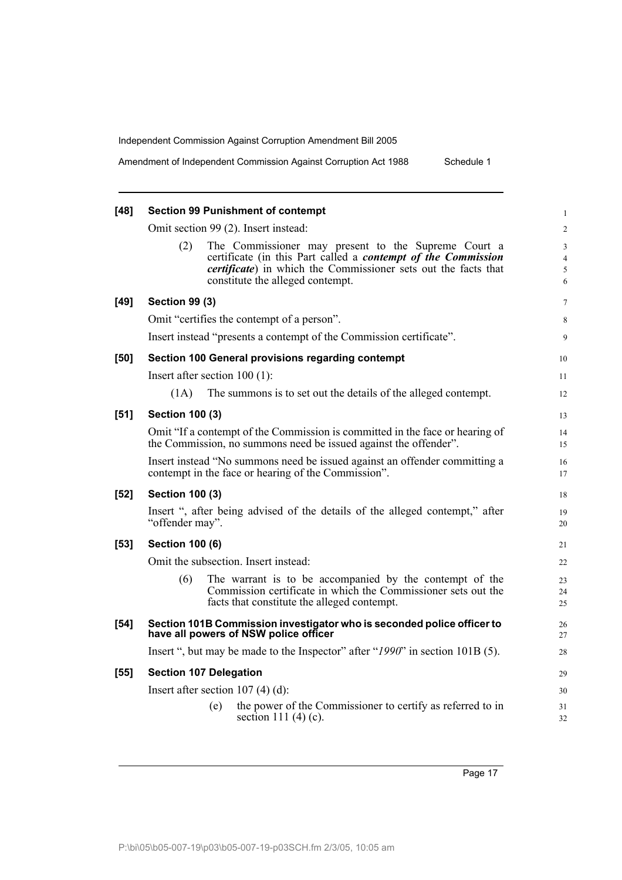Amendment of Independent Commission Against Corruption Act 1988 Schedule 1

| $[48]$ | <b>Section 99 Punishment of contempt</b>                                                                                                         | $\mathbf{1}$        |
|--------|--------------------------------------------------------------------------------------------------------------------------------------------------|---------------------|
|        | Omit section 99 (2). Insert instead:                                                                                                             | $\overline{c}$      |
|        | The Commissioner may present to the Supreme Court a<br>(2)<br>certificate (in this Part called a <i>contempt of the Commission</i>               | $\mathfrak{Z}$<br>4 |
|        | <i>certificate</i> ) in which the Commissioner sets out the facts that<br>constitute the alleged contempt.                                       | $\sqrt{5}$<br>6     |
| $[49]$ | <b>Section 99 (3)</b>                                                                                                                            | 7                   |
|        | Omit "certifies the contempt of a person".                                                                                                       | 8                   |
|        | Insert instead "presents a contempt of the Commission certificate".                                                                              | 9                   |
| [50]   | Section 100 General provisions regarding contempt                                                                                                | 10                  |
|        | Insert after section $100(1)$ :                                                                                                                  | 11                  |
|        | (1A)<br>The summons is to set out the details of the alleged contempt.                                                                           | 12                  |
| $[51]$ | <b>Section 100 (3)</b>                                                                                                                           | 13                  |
|        | Omit "If a contempt of the Commission is committed in the face or hearing of<br>the Commission, no summons need be issued against the offender". | 14<br>15            |
|        | Insert instead "No summons need be issued against an offender committing a<br>contempt in the face or hearing of the Commission".                | 16<br>17            |
| $[52]$ | <b>Section 100 (3)</b>                                                                                                                           | 18                  |
|        | Insert ", after being advised of the details of the alleged contempt," after<br>"offender may".                                                  | 19<br>20            |
| $[53]$ | <b>Section 100 (6)</b>                                                                                                                           | 21                  |
|        | Omit the subsection. Insert instead:                                                                                                             | 22                  |
|        | The warrant is to be accompanied by the contempt of the<br>(6)                                                                                   | 23                  |
|        | Commission certificate in which the Commissioner sets out the<br>facts that constitute the alleged contempt.                                     | 24<br>25            |
| $[54]$ | Section 101B Commission investigator who is seconded police officer to<br>have all powers of NSW police officer                                  | 26<br>27            |
|        | Insert ", but may be made to the Inspector" after "1990" in section 101B (5).                                                                    | 28                  |
| $[55]$ | <b>Section 107 Delegation</b>                                                                                                                    | 29                  |
|        | Insert after section 107 (4) (d):                                                                                                                | 30                  |
|        | the power of the Commissioner to certify as referred to in<br>(e)<br>section 111 $(4)(c)$ .                                                      | 31<br>32            |
|        |                                                                                                                                                  |                     |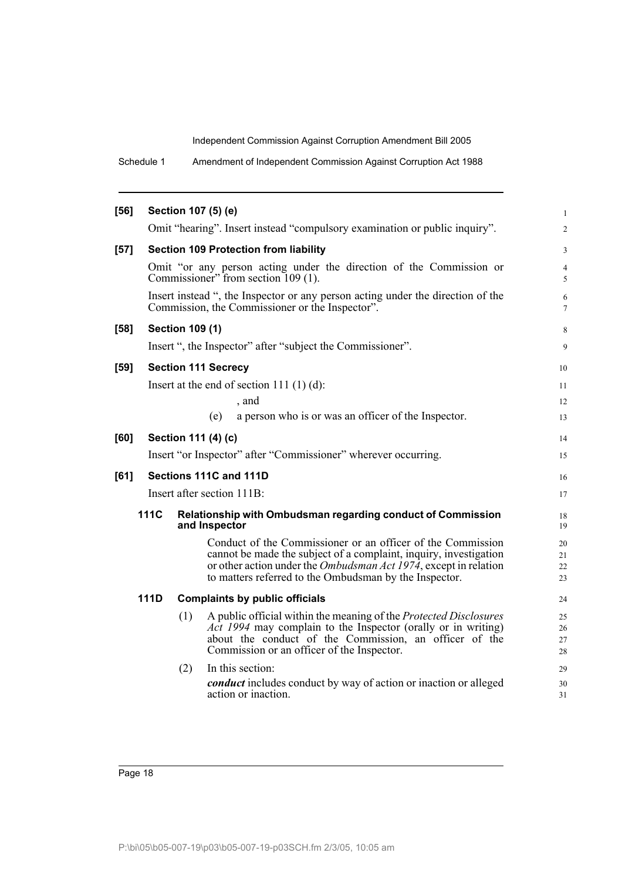Schedule 1 Amendment of Independent Commission Against Corruption Act 1988

| $[56]$ |             |                        | Section 107 (5) (e)                                                                                                                                                                                                                               | $\mathbf{1}$         |
|--------|-------------|------------------------|---------------------------------------------------------------------------------------------------------------------------------------------------------------------------------------------------------------------------------------------------|----------------------|
|        |             |                        | Omit "hearing". Insert instead "compulsory examination or public inquiry".                                                                                                                                                                        | 2                    |
| $[57]$ |             |                        | <b>Section 109 Protection from liability</b>                                                                                                                                                                                                      | 3                    |
|        |             |                        | Omit "or any person acting under the direction of the Commission or<br>Commissioner" from section 109 (1).                                                                                                                                        | $\overline{4}$<br>5  |
|        |             |                        | Insert instead ", the Inspector or any person acting under the direction of the<br>Commission, the Commissioner or the Inspector".                                                                                                                | 6<br>$\tau$          |
| $[58]$ |             | <b>Section 109 (1)</b> |                                                                                                                                                                                                                                                   | 8                    |
|        |             |                        | Insert ", the Inspector" after "subject the Commissioner".                                                                                                                                                                                        | 9                    |
| [59]   |             |                        | <b>Section 111 Secrecy</b>                                                                                                                                                                                                                        | 10                   |
|        |             |                        | Insert at the end of section 111 $(1)$ $(d)$ :                                                                                                                                                                                                    | 11                   |
|        |             |                        | , and                                                                                                                                                                                                                                             | 12                   |
|        |             |                        | a person who is or was an officer of the Inspector.<br>(e)                                                                                                                                                                                        | 13                   |
| [60]   |             |                        | Section 111 (4) (c)                                                                                                                                                                                                                               | 14                   |
|        |             |                        | Insert "or Inspector" after "Commissioner" wherever occurring.                                                                                                                                                                                    | 15                   |
| [61]   |             |                        | Sections 111C and 111D                                                                                                                                                                                                                            | 16                   |
|        |             |                        | Insert after section 111B:                                                                                                                                                                                                                        | 17                   |
|        | <b>111C</b> |                        | Relationship with Ombudsman regarding conduct of Commission<br>and Inspector                                                                                                                                                                      | 18<br>19             |
|        |             |                        | Conduct of the Commissioner or an officer of the Commission                                                                                                                                                                                       | 20                   |
|        |             |                        | cannot be made the subject of a complaint, inquiry, investigation<br>or other action under the <i>Ombudsman Act 1974</i> , except in relation                                                                                                     | 21<br>22             |
|        |             |                        | to matters referred to the Ombudsman by the Inspector.                                                                                                                                                                                            | 23                   |
|        | <b>111D</b> |                        | <b>Complaints by public officials</b>                                                                                                                                                                                                             | 24                   |
|        |             | (1)                    | A public official within the meaning of the Protected Disclosures<br><i>Act 1994</i> may complain to the Inspector (orally or in writing)<br>about the conduct of the Commission, an officer of the<br>Commission or an officer of the Inspector. | 25<br>26<br>27<br>28 |
|        |             | (2)                    | In this section:<br><i>conduct</i> includes conduct by way of action or inaction or alleged<br>action or inaction.                                                                                                                                | 29<br>30<br>31       |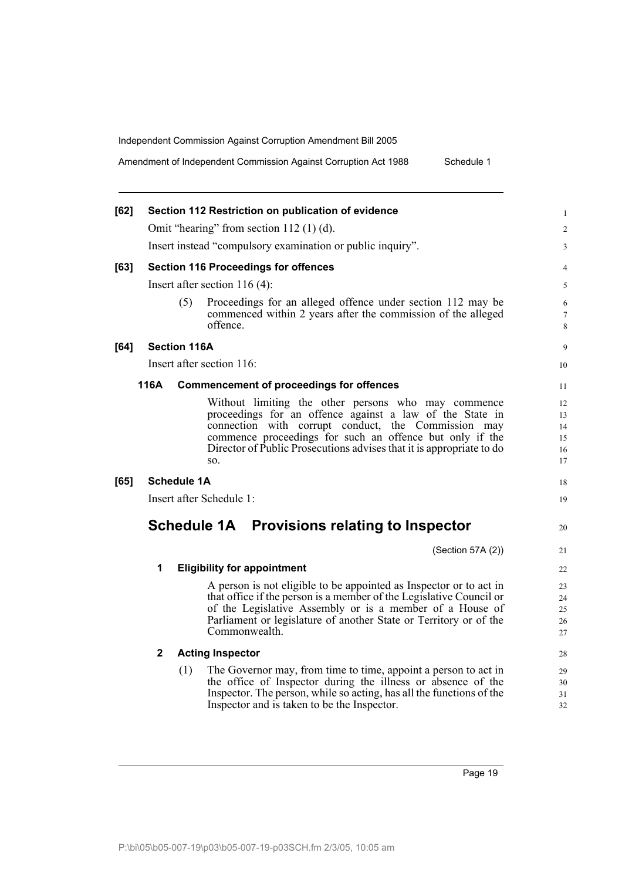Amendment of Independent Commission Against Corruption Act 1988 Schedule 1

| $[62]$ |                    | Section 112 Restriction on publication of evidence                                                                                                                                                                                                                                                                |
|--------|--------------------|-------------------------------------------------------------------------------------------------------------------------------------------------------------------------------------------------------------------------------------------------------------------------------------------------------------------|
|        |                    | Omit "hearing" from section $112(1)(d)$ .                                                                                                                                                                                                                                                                         |
|        |                    | Insert instead "compulsory examination or public inquiry".                                                                                                                                                                                                                                                        |
| [63]   |                    | <b>Section 116 Proceedings for offences</b>                                                                                                                                                                                                                                                                       |
|        |                    | Insert after section $116(4)$ :                                                                                                                                                                                                                                                                                   |
|        |                    | (5)<br>Proceedings for an alleged offence under section 112 may be<br>commenced within 2 years after the commission of the alleged<br>offence.                                                                                                                                                                    |
| [64]   |                    | <b>Section 116A</b>                                                                                                                                                                                                                                                                                               |
|        |                    | Insert after section 116:                                                                                                                                                                                                                                                                                         |
|        | 116A               | <b>Commencement of proceedings for offences</b>                                                                                                                                                                                                                                                                   |
|        |                    | Without limiting the other persons who may commence<br>proceedings for an offence against a law of the State in<br>connection with corrupt conduct, the Commission may<br>commence proceedings for such an offence but only if the<br>Director of Public Prosecutions advises that it is appropriate to do<br>SO. |
| [65]   | <b>Schedule 1A</b> |                                                                                                                                                                                                                                                                                                                   |
|        |                    | Insert after Schedule 1:                                                                                                                                                                                                                                                                                          |
|        |                    | Schedule 1A Provisions relating to Inspector                                                                                                                                                                                                                                                                      |
|        |                    | (Section 57A (2))                                                                                                                                                                                                                                                                                                 |
|        | 1                  | <b>Eligibility for appointment</b>                                                                                                                                                                                                                                                                                |
|        |                    | A person is not eligible to be appointed as Inspector or to act in<br>that office if the person is a member of the Legislative Council or<br>of the Legislative Assembly or is a member of a House of<br>Parliament or legislature of another State or Territory or of the<br>Commonwealth.                       |
|        | $\mathbf{2}$       | <b>Acting Inspector</b>                                                                                                                                                                                                                                                                                           |
|        |                    | The Governor may, from time to time, appoint a person to act in<br>(1)<br>the office of Inspector during the illness or absence of the<br>Inspector. The person, while so acting, has all the functions of the                                                                                                    |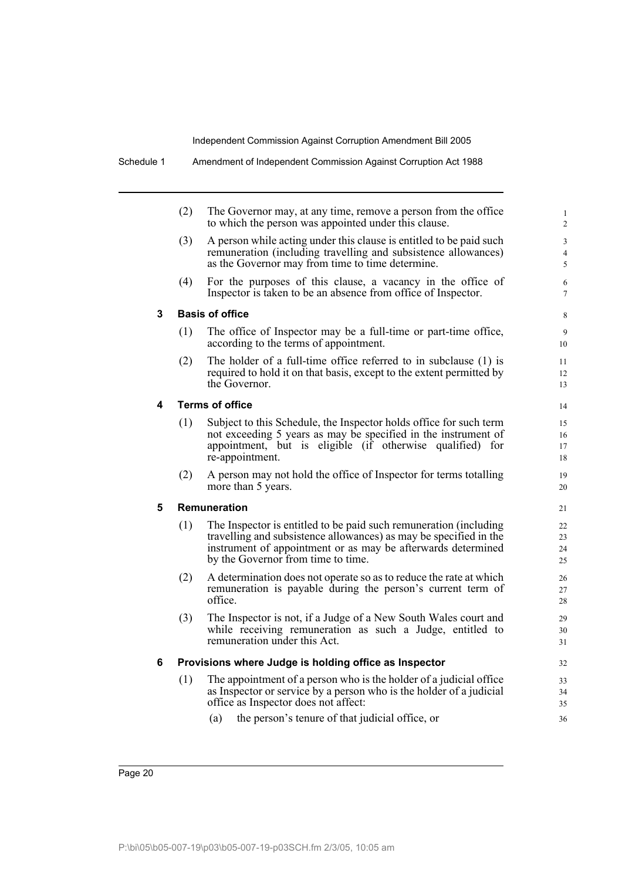|   | (2) | The Governor may, at any time, remove a person from the office<br>to which the person was appointed under this clause.                                                                                                                       |
|---|-----|----------------------------------------------------------------------------------------------------------------------------------------------------------------------------------------------------------------------------------------------|
|   | (3) | A person while acting under this clause is entitled to be paid such<br>remuneration (including travelling and subsistence allowances)<br>as the Governor may from time to time determine.                                                    |
|   | (4) | For the purposes of this clause, a vacancy in the office of<br>Inspector is taken to be an absence from office of Inspector.                                                                                                                 |
| 3 |     | <b>Basis of office</b>                                                                                                                                                                                                                       |
|   | (1) | The office of Inspector may be a full-time or part-time office,<br>according to the terms of appointment.                                                                                                                                    |
|   | (2) | The holder of a full-time office referred to in subclause (1) is<br>required to hold it on that basis, except to the extent permitted by<br>the Governor.                                                                                    |
| 4 |     | <b>Terms of office</b>                                                                                                                                                                                                                       |
|   | (1) | Subject to this Schedule, the Inspector holds office for such term<br>not exceeding 5 years as may be specified in the instrument of<br>appointment, but is eligible (if otherwise qualified) for<br>re-appointment.                         |
|   | (2) | A person may not hold the office of Inspector for terms totalling<br>more than 5 years.                                                                                                                                                      |
| 5 |     | Remuneration                                                                                                                                                                                                                                 |
|   | (1) | The Inspector is entitled to be paid such remuneration (including<br>travelling and subsistence allowances) as may be specified in the<br>instrument of appointment or as may be afterwards determined<br>by the Governor from time to time. |
|   | (2) | A determination does not operate so as to reduce the rate at which<br>remuneration is payable during the person's current term of<br>office.                                                                                                 |
|   | (3) | The Inspector is not, if a Judge of a New South Wales court and<br>while receiving remuneration as such a Judge, entitled to<br>remuneration under this Act.                                                                                 |
| 6 |     | Provisions where Judge is holding office as Inspector                                                                                                                                                                                        |
|   | (1) | The appointment of a person who is the holder of a judicial office<br>as Inspector or service by a person who is the holder of a judicial<br>office as Inspector does not affect:                                                            |
|   |     | the person's tenure of that judicial office, or<br>(a)                                                                                                                                                                                       |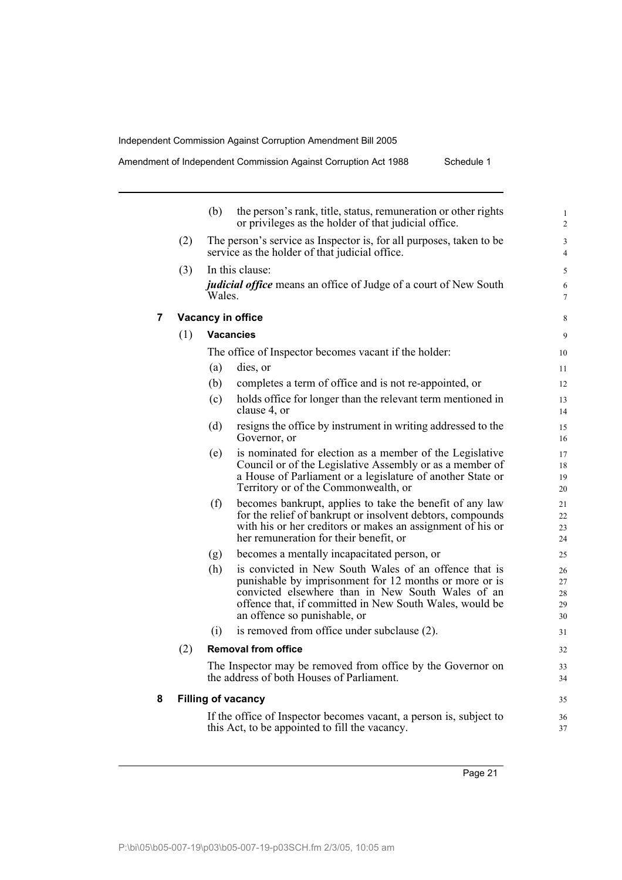|   |     | (b)    | the person's rank, title, status, remuneration or other rights<br>or privileges as the holder of that judicial office.                                                                                                                                          | 1<br>$\sqrt{2}$                  |
|---|-----|--------|-----------------------------------------------------------------------------------------------------------------------------------------------------------------------------------------------------------------------------------------------------------------|----------------------------------|
|   | (2) |        | The person's service as Inspector is, for all purposes, taken to be<br>service as the holder of that judicial office.                                                                                                                                           | $\mathfrak{Z}$<br>$\overline{4}$ |
|   | (3) |        | In this clause:                                                                                                                                                                                                                                                 | 5                                |
|   |     | Wales. | <i>judicial office</i> means an office of Judge of a court of New South                                                                                                                                                                                         | 6<br>$\boldsymbol{7}$            |
| 7 |     |        | Vacancy in office                                                                                                                                                                                                                                               | 8                                |
|   | (1) |        | <b>Vacancies</b>                                                                                                                                                                                                                                                | 9                                |
|   |     |        | The office of Inspector becomes vacant if the holder:                                                                                                                                                                                                           | 10                               |
|   |     | (a)    | dies, or                                                                                                                                                                                                                                                        | 11                               |
|   |     | (b)    | completes a term of office and is not re-appointed, or                                                                                                                                                                                                          | 12                               |
|   |     | (c)    | holds office for longer than the relevant term mentioned in<br>clause 4, or                                                                                                                                                                                     | 13<br>14                         |
|   |     | (d)    | resigns the office by instrument in writing addressed to the<br>Governor, or                                                                                                                                                                                    | 15<br>16                         |
|   |     | (e)    | is nominated for election as a member of the Legislative<br>Council or of the Legislative Assembly or as a member of<br>a House of Parliament or a legislature of another State or<br>Territory or of the Commonwealth, or                                      | 17<br>18<br>19<br>20             |
|   |     | (f)    | becomes bankrupt, applies to take the benefit of any law<br>for the relief of bankrupt or insolvent debtors, compounds<br>with his or her creditors or makes an assignment of his or<br>her remuneration for their benefit, or                                  | 21<br>22<br>23<br>24             |
|   |     | (g)    | becomes a mentally incapacitated person, or                                                                                                                                                                                                                     | 25                               |
|   |     | (h)    | is convicted in New South Wales of an offence that is<br>punishable by imprisonment for 12 months or more or is<br>convicted elsewhere than in New South Wales of an<br>offence that, if committed in New South Wales, would be<br>an offence so punishable, or | 26<br>27<br>28<br>29<br>30       |
|   |     | (i)    | is removed from office under subclause (2).                                                                                                                                                                                                                     | 31                               |
|   | (2) |        | <b>Removal from office</b>                                                                                                                                                                                                                                      | 32                               |
|   |     |        | The Inspector may be removed from office by the Governor on<br>the address of both Houses of Parliament.                                                                                                                                                        | 33<br>34                         |
| 8 |     |        | <b>Filling of vacancy</b>                                                                                                                                                                                                                                       | 35                               |
|   |     |        | If the office of Inspector becomes vacant, a person is, subject to<br>this Act, to be appointed to fill the vacancy.                                                                                                                                            | 36<br>37                         |
|   |     |        |                                                                                                                                                                                                                                                                 |                                  |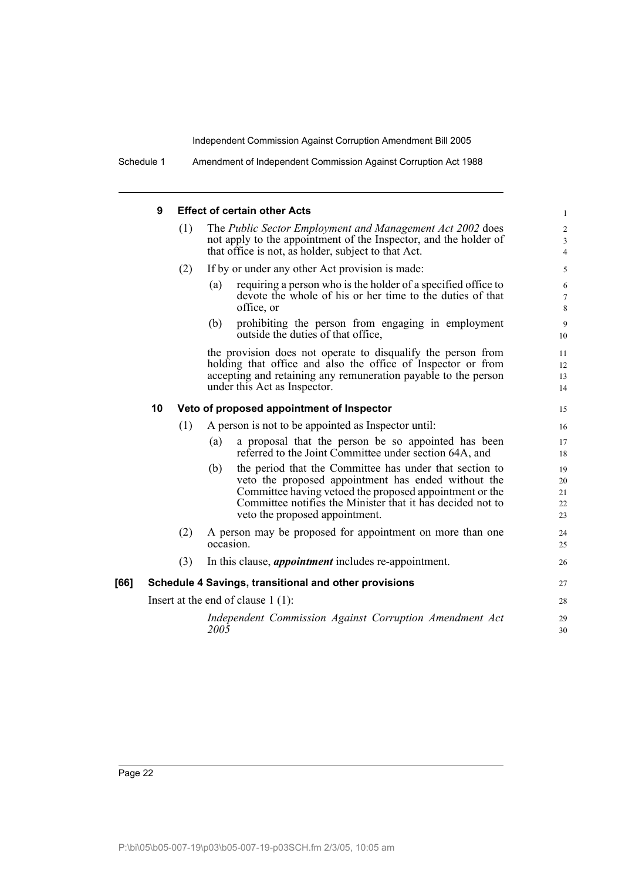Schedule 1 Amendment of Independent Commission Against Corruption Act 1988

# **9 Effect of certain other Acts**

|      | 9  |     | <b>Effect of certain other Acts</b>                                                                                                                                                                                                                                              | $\mathbf{1}$                          |
|------|----|-----|----------------------------------------------------------------------------------------------------------------------------------------------------------------------------------------------------------------------------------------------------------------------------------|---------------------------------------|
|      |    | (1) | The Public Sector Employment and Management Act 2002 does<br>not apply to the appointment of the Inspector, and the holder of<br>that office is not, as holder, subject to that Act.                                                                                             | $\overline{c}$<br>3<br>$\overline{4}$ |
|      |    | (2) | If by or under any other Act provision is made:                                                                                                                                                                                                                                  | 5                                     |
|      |    |     | requiring a person who is the holder of a specified office to<br>(a)<br>devote the whole of his or her time to the duties of that<br>office, or                                                                                                                                  | 6<br>$\tau$<br>8                      |
|      |    |     | prohibiting the person from engaging in employment<br>(b)<br>outside the duties of that office,                                                                                                                                                                                  | $\overline{9}$<br>10                  |
|      |    |     | the provision does not operate to disqualify the person from<br>holding that office and also the office of Inspector or from<br>accepting and retaining any remuneration payable to the person<br>under this Act as Inspector.                                                   | 11<br>12<br>13<br>14                  |
|      | 10 |     | Veto of proposed appointment of Inspector                                                                                                                                                                                                                                        | 15                                    |
|      |    | (1) | A person is not to be appointed as Inspector until:                                                                                                                                                                                                                              | 16                                    |
|      |    |     | a proposal that the person be so appointed has been<br>(a)<br>referred to the Joint Committee under section 64A, and                                                                                                                                                             | 17<br>18                              |
|      |    |     | the period that the Committee has under that section to<br>(b)<br>veto the proposed appointment has ended without the<br>Committee having vetoed the proposed appointment or the<br>Committee notifies the Minister that it has decided not to<br>veto the proposed appointment. | 19<br>20<br>21<br>22<br>23            |
|      |    | (2) | A person may be proposed for appointment on more than one<br>occasion.                                                                                                                                                                                                           | 24<br>25                              |
|      |    | (3) | In this clause, <i>appointment</i> includes re-appointment.                                                                                                                                                                                                                      | 26                                    |
| [66] |    |     | Schedule 4 Savings, transitional and other provisions                                                                                                                                                                                                                            | 27                                    |
|      |    |     | Insert at the end of clause $1(1)$ :                                                                                                                                                                                                                                             | 28                                    |
|      |    |     | Independent Commission Against Corruption Amendment Act<br>$200\bar{5}$                                                                                                                                                                                                          | 29<br>30                              |
|      |    |     |                                                                                                                                                                                                                                                                                  |                                       |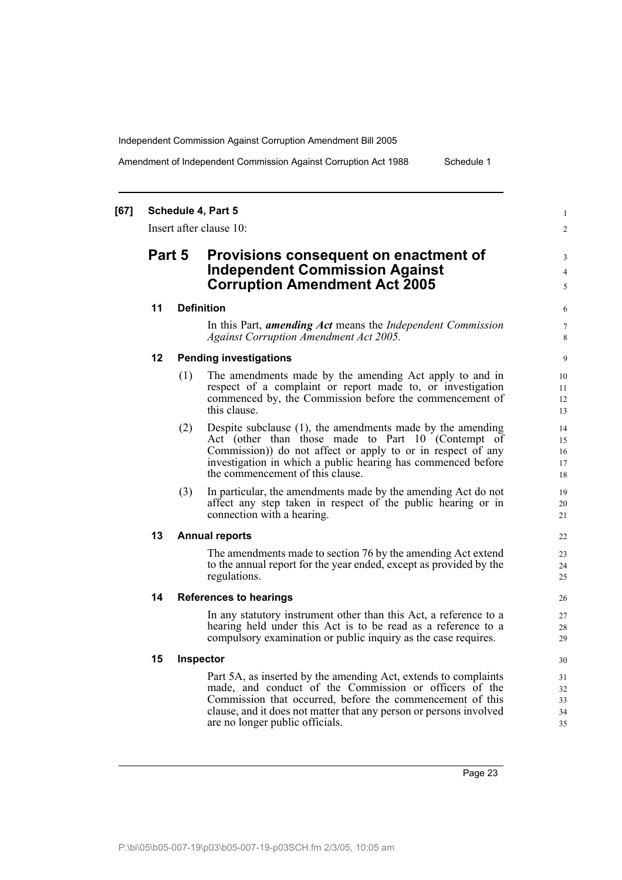Amendment of Independent Commission Against Corruption Act 1988 Schedule 1

1  $\mathfrak{Z}$ 

3 4  $\overline{5}$ 

# **[67] Schedule 4, Part 5**

Insert after clause 10:

# **Part 5 Provisions consequent on enactment of Independent Commission Against Corruption Amendment Act 2005**

# **11 Definition**

In this Part, *amending Act* means the *Independent Commission Against Corruption Amendment Act 2005.*

# **12 Pending investigations**

- (1) The amendments made by the amending Act apply to and in respect of a complaint or report made to, or investigation commenced by, the Commission before the commencement of this clause.
- (2) Despite subclause (1), the amendments made by the amending Act (other than those made to Part 10 (Contempt of Commission)) do not affect or apply to or in respect of any investigation in which a public hearing has commenced before the commencement of this clause.
- (3) In particular, the amendments made by the amending Act do not affect any step taken in respect of the public hearing or in connection with a hearing.

# **13 Annual reports**

The amendments made to section 76 by the amending Act extend to the annual report for the year ended, except as provided by the regulations.

# **14 References to hearings**

In any statutory instrument other than this Act, a reference to a hearing held under this Act is to be read as a reference to a compulsory examination or public inquiry as the case requires.

### **15 Inspector**

Part 5A, as inserted by the amending Act, extends to complaints made, and conduct of the Commission or officers of the Commission that occurred, before the commencement of this clause, and it does not matter that any person or persons involved are no longer public officials.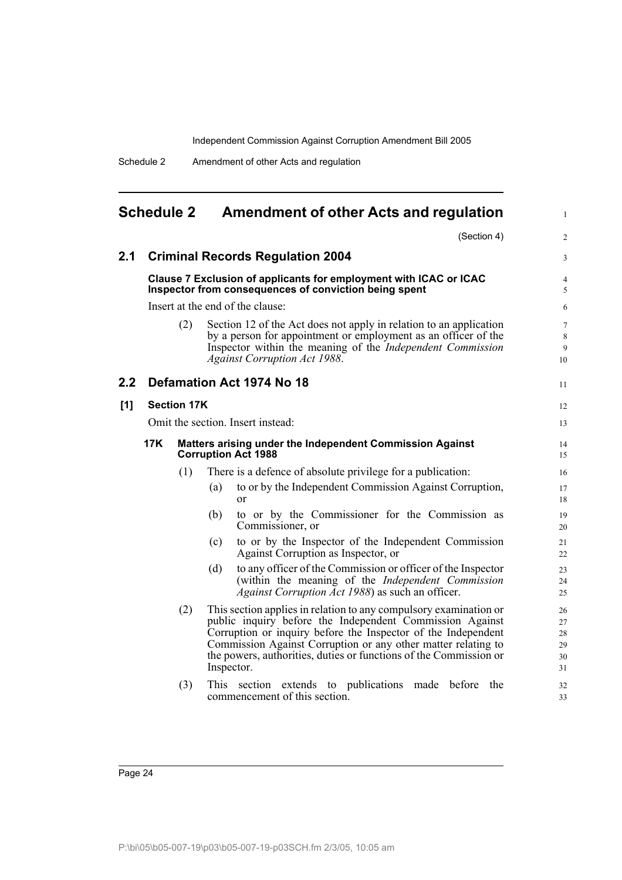Schedule 2 Amendment of other Acts and regulation

<span id="page-24-0"></span>

| <b>Schedule 2</b>                                                                             |  |                    | <b>Amendment of other Acts and regulation</b>                                                                                                                                                                                                                                                                                                      |             | 1                                |
|-----------------------------------------------------------------------------------------------|--|--------------------|----------------------------------------------------------------------------------------------------------------------------------------------------------------------------------------------------------------------------------------------------------------------------------------------------------------------------------------------------|-------------|----------------------------------|
|                                                                                               |  |                    |                                                                                                                                                                                                                                                                                                                                                    | (Section 4) | $\overline{c}$                   |
| 2.1                                                                                           |  |                    | <b>Criminal Records Regulation 2004</b>                                                                                                                                                                                                                                                                                                            |             | 3                                |
|                                                                                               |  |                    | Clause 7 Exclusion of applicants for employment with ICAC or ICAC<br>Inspector from consequences of conviction being spent                                                                                                                                                                                                                         |             | 4<br>5                           |
|                                                                                               |  |                    | Insert at the end of the clause:                                                                                                                                                                                                                                                                                                                   |             | 6                                |
|                                                                                               |  | (2)                | Section 12 of the Act does not apply in relation to an application<br>by a person for appointment or employment as an officer of the<br>Inspector within the meaning of the Independent Commission<br><b>Against Corruption Act 1988.</b>                                                                                                          |             | $\overline{7}$<br>8<br>9<br>10   |
| 2.2 <sub>2</sub>                                                                              |  |                    | Defamation Act 1974 No 18                                                                                                                                                                                                                                                                                                                          |             | 11                               |
| [1]                                                                                           |  | <b>Section 17K</b> |                                                                                                                                                                                                                                                                                                                                                    |             | 12                               |
|                                                                                               |  |                    | Omit the section. Insert instead:                                                                                                                                                                                                                                                                                                                  |             | 13                               |
| 17K<br>Matters arising under the Independent Commission Against<br><b>Corruption Act 1988</b> |  |                    |                                                                                                                                                                                                                                                                                                                                                    | 14<br>15    |                                  |
|                                                                                               |  | (1)                | There is a defence of absolute privilege for a publication:                                                                                                                                                                                                                                                                                        |             | 16                               |
|                                                                                               |  |                    | to or by the Independent Commission Against Corruption,<br>(a)<br><sub>or</sub>                                                                                                                                                                                                                                                                    |             | 17<br>18                         |
|                                                                                               |  |                    | to or by the Commissioner for the Commission as<br>(b)<br>Commissioner, or                                                                                                                                                                                                                                                                         |             | 19<br>20                         |
|                                                                                               |  |                    | to or by the Inspector of the Independent Commission<br>(c)<br>Against Corruption as Inspector, or                                                                                                                                                                                                                                                 |             | 21<br>22                         |
|                                                                                               |  |                    | to any officer of the Commission or officer of the Inspector<br>(d)<br>(within the meaning of the Independent Commission<br>Against Corruption Act 1988) as such an officer.                                                                                                                                                                       |             | 23<br>24<br>25                   |
|                                                                                               |  | (2)                | This section applies in relation to any compulsory examination or<br>public inquiry before the Independent Commission Against<br>Corruption or inquiry before the Inspector of the Independent<br>Commission Against Corruption or any other matter relating to<br>the powers, authorities, duties or functions of the Commission or<br>Inspector. |             | 26<br>27<br>28<br>29<br>30<br>31 |
|                                                                                               |  | (3)                | <b>This</b><br>section extends to publications made before<br>commencement of this section.                                                                                                                                                                                                                                                        | the         | 32<br>33                         |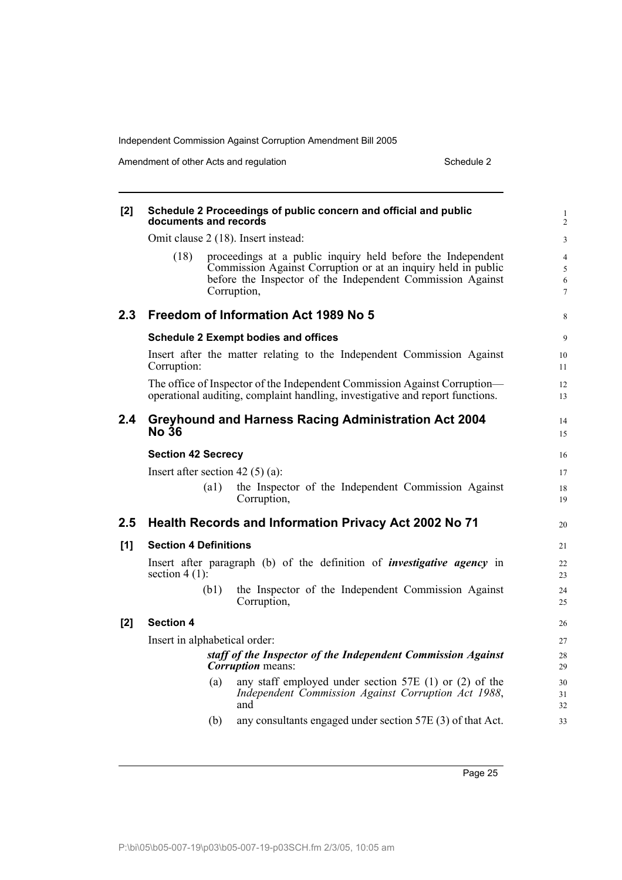Amendment of other Acts and regulation Schedule 2

| [2]   | documents and records              |      | Schedule 2 Proceedings of public concern and official and public                                                                                                                                          | 1<br>$\overline{c}$                        |
|-------|------------------------------------|------|-----------------------------------------------------------------------------------------------------------------------------------------------------------------------------------------------------------|--------------------------------------------|
|       |                                    |      | Omit clause 2 (18). Insert instead:                                                                                                                                                                       | 3                                          |
|       | (18)                               |      | proceedings at a public inquiry held before the Independent<br>Commission Against Corruption or at an inquiry held in public<br>before the Inspector of the Independent Commission Against<br>Corruption, | $\overline{4}$<br>5<br>6<br>$\overline{7}$ |
| 2.3   |                                    |      | Freedom of Information Act 1989 No 5                                                                                                                                                                      | 8                                          |
|       |                                    |      | <b>Schedule 2 Exempt bodies and offices</b>                                                                                                                                                               | 9                                          |
|       | Corruption:                        |      | Insert after the matter relating to the Independent Commission Against                                                                                                                                    | 10<br>11                                   |
|       |                                    |      | The office of Inspector of the Independent Commission Against Corruption—<br>operational auditing, complaint handling, investigative and report functions.                                                | 12<br>13                                   |
| 2.4   | <b>No 36</b>                       |      | <b>Greyhound and Harness Racing Administration Act 2004</b>                                                                                                                                               | 14<br>15                                   |
|       | <b>Section 42 Secrecy</b>          |      |                                                                                                                                                                                                           | 16                                         |
|       | Insert after section 42 $(5)$ (a): |      |                                                                                                                                                                                                           | 17                                         |
|       |                                    | (a1) | the Inspector of the Independent Commission Against<br>Corruption,                                                                                                                                        | 18<br>19                                   |
| 2.5   |                                    |      | <b>Health Records and Information Privacy Act 2002 No 71</b>                                                                                                                                              | 20                                         |
| [1]   | <b>Section 4 Definitions</b>       |      |                                                                                                                                                                                                           | 21                                         |
|       | section $4(1)$ :                   |      | Insert after paragraph (b) of the definition of <i>investigative agency</i> in                                                                                                                            | 22<br>23                                   |
|       |                                    | (b1) | the Inspector of the Independent Commission Against<br>Corruption,                                                                                                                                        | 24<br>25                                   |
| $[2]$ | <b>Section 4</b>                   |      |                                                                                                                                                                                                           | 26                                         |
|       | Insert in alphabetical order:      |      |                                                                                                                                                                                                           | 27                                         |
|       |                                    |      | staff of the Inspector of the Independent Commission Against<br><b>Corruption</b> means:                                                                                                                  | 28<br>29                                   |
|       |                                    | (a)  | any staff employed under section 57E $(1)$ or $(2)$ of the<br>Independent Commission Against Corruption Act 1988,<br>and                                                                                  | 30<br>31<br>32                             |
|       |                                    | (b)  | any consultants engaged under section 57E (3) of that Act.                                                                                                                                                | 33                                         |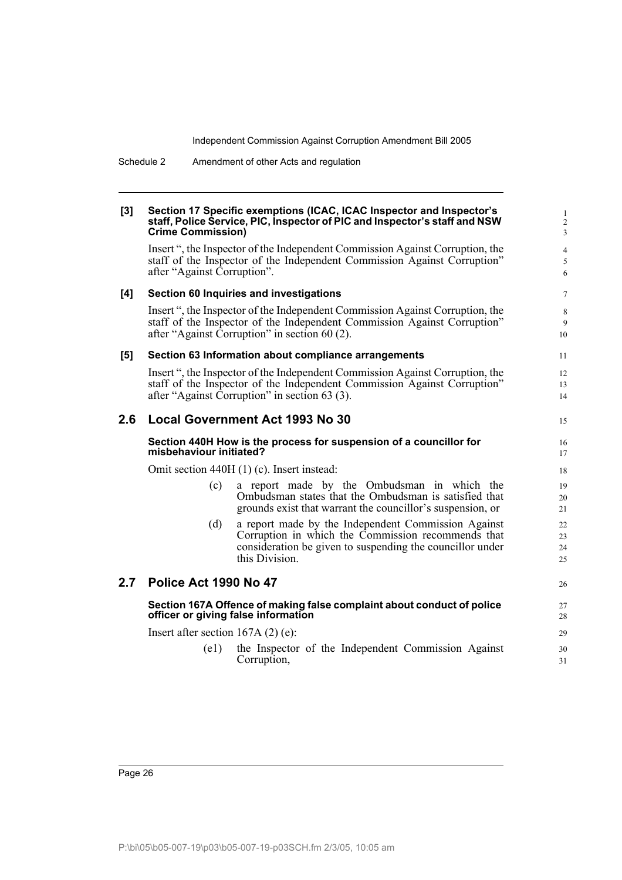#### **[3] Section 17 Specific exemptions (ICAC, ICAC Inspector and Inspector's staff, Police Service, PIC, Inspector of PIC and Inspector's staff and NSW Crime Commission)**

Insert ", the Inspector of the Independent Commission Against Corruption, the staff of the Inspector of the Independent Commission Against Corruption" after "Against Corruption".

15

26

### **[4] Section 60 Inquiries and investigations**

Insert ", the Inspector of the Independent Commission Against Corruption, the staff of the Inspector of the Independent Commission Against Corruption" after "Against Corruption" in section 60 (2).

#### **[5] Section 63 Information about compliance arrangements**

Insert ", the Inspector of the Independent Commission Against Corruption, the staff of the Inspector of the Independent Commission Against Corruption" after "Against Corruption" in section 63 (3).

# **2.6 Local Government Act 1993 No 30**

### **Section 440H How is the process for suspension of a councillor for misbehaviour initiated?**

Omit section 440H (1) (c). Insert instead:

- (c) a report made by the Ombudsman in which the Ombudsman states that the Ombudsman is satisfied that grounds exist that warrant the councillor's suspension, or
- (d) a report made by the Independent Commission Against Corruption in which the Commission recommends that consideration be given to suspending the councillor under this Division.

# **2.7 Police Act 1990 No 47**

# **Section 167A Offence of making false complaint about conduct of police officer or giving false information**

Insert after section 167A (2) (e):

(e1) the Inspector of the Independent Commission Against Corruption,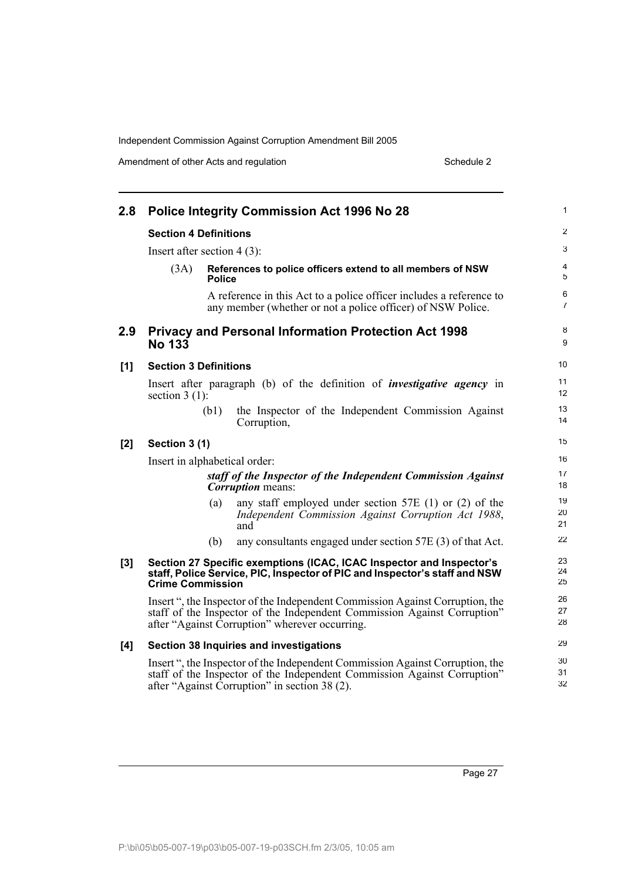Amendment of other Acts and regulation Schedule 2

| 2.8 |                               |               | <b>Police Integrity Commission Act 1996 No 28</b>                                                                                                                                                           | $\mathbf{1}$        |
|-----|-------------------------------|---------------|-------------------------------------------------------------------------------------------------------------------------------------------------------------------------------------------------------------|---------------------|
|     | <b>Section 4 Definitions</b>  |               |                                                                                                                                                                                                             | 2                   |
|     | Insert after section $4(3)$ : |               |                                                                                                                                                                                                             | $\mathbf{3}$        |
|     | (3A)                          | <b>Police</b> | References to police officers extend to all members of NSW                                                                                                                                                  | 4<br>5              |
|     |                               |               | A reference in this Act to a police officer includes a reference to<br>any member (whether or not a police officer) of NSW Police.                                                                          | 6<br>$\overline{7}$ |
| 2.9 | <b>No 133</b>                 |               | <b>Privacy and Personal Information Protection Act 1998</b>                                                                                                                                                 | 8<br>9              |
| [1] | <b>Section 3 Definitions</b>  |               |                                                                                                                                                                                                             | 10                  |
|     | section $3(1)$ :              |               | Insert after paragraph (b) of the definition of <i>investigative agency</i> in                                                                                                                              | 11<br>12            |
|     |                               | (b1)          | the Inspector of the Independent Commission Against<br>Corruption,                                                                                                                                          | 13<br>14            |
| [2] | Section 3 (1)                 |               |                                                                                                                                                                                                             | 15                  |
|     | Insert in alphabetical order: |               |                                                                                                                                                                                                             | 16                  |
|     |                               |               | staff of the Inspector of the Independent Commission Against<br><b>Corruption</b> means:                                                                                                                    | 17<br>18            |
|     |                               | (a)           | any staff employed under section 57E $(1)$ or $(2)$ of the<br>Independent Commission Against Corruption Act 1988,<br>and                                                                                    | 19<br>20<br>21      |
|     |                               | (b)           | any consultants engaged under section 57E (3) of that Act.                                                                                                                                                  | 22                  |
| [3] | <b>Crime Commission</b>       |               | Section 27 Specific exemptions (ICAC, ICAC Inspector and Inspector's<br>staff, Police Service, PIC, Inspector of PIC and Inspector's staff and NSW                                                          | 23<br>24<br>25      |
|     |                               |               | Insert ", the Inspector of the Independent Commission Against Corruption, the<br>staff of the Inspector of the Independent Commission Against Corruption"<br>after "Against Corruption" wherever occurring. | 26<br>27<br>28      |
| [4] |                               |               | Section 38 Inquiries and investigations                                                                                                                                                                     | 29                  |
|     |                               |               | Insert ", the Inspector of the Independent Commission Against Corruption, the<br>staff of the Inspector of the Independent Commission Against Corruption"<br>after "Against Corruption" in section 38 (2).  | 30<br>31<br>32      |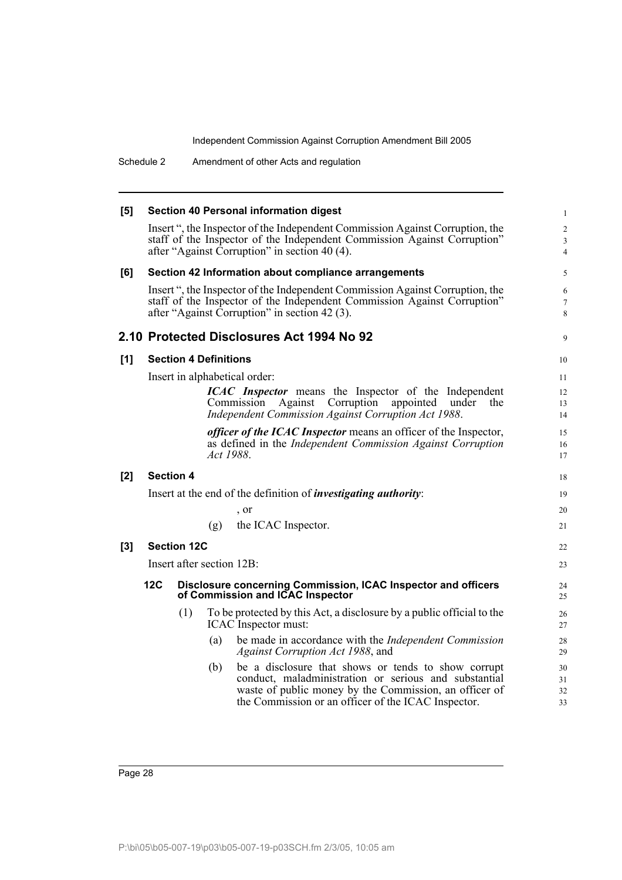Schedule 2 Amendment of other Acts and regulation

| [5]   |                               |                                                                                                   |                              | <b>Section 40 Personal information digest</b>                                                                                                                                                                                 | $\mathbf{1}$             |  |
|-------|-------------------------------|---------------------------------------------------------------------------------------------------|------------------------------|-------------------------------------------------------------------------------------------------------------------------------------------------------------------------------------------------------------------------------|--------------------------|--|
|       |                               |                                                                                                   |                              | Insert ", the Inspector of the Independent Commission Against Corruption, the<br>staff of the Inspector of the Independent Commission Against Corruption"<br>after "Against Corruption" in section 40 (4).                    | 2<br>3<br>$\overline{4}$ |  |
| [6]   |                               |                                                                                                   |                              | Section 42 Information about compliance arrangements                                                                                                                                                                          | 5                        |  |
|       |                               |                                                                                                   |                              | Insert ", the Inspector of the Independent Commission Against Corruption, the<br>staff of the Inspector of the Independent Commission Against Corruption"<br>after "Against Corruption" in section 42 (3).                    | 6<br>$\overline{7}$<br>8 |  |
|       |                               |                                                                                                   |                              | 2.10 Protected Disclosures Act 1994 No 92                                                                                                                                                                                     | 9                        |  |
| [1]   |                               |                                                                                                   | <b>Section 4 Definitions</b> |                                                                                                                                                                                                                               | 10                       |  |
|       | Insert in alphabetical order: |                                                                                                   |                              |                                                                                                                                                                                                                               |                          |  |
|       |                               |                                                                                                   |                              | <b>ICAC</b> Inspector means the Inspector of the Independent<br>Against Corruption<br>Commission<br>appointed<br>under<br>the<br>Independent Commission Against Corruption Act 1988.                                          | 12<br>13<br>14           |  |
|       |                               |                                                                                                   | <i>Act</i> 1988.             | <i>officer of the ICAC Inspector</i> means an officer of the Inspector,<br>as defined in the Independent Commission Against Corruption                                                                                        | 15<br>16<br>17           |  |
| [2]   |                               | <b>Section 4</b>                                                                                  |                              |                                                                                                                                                                                                                               | 18                       |  |
|       |                               |                                                                                                   |                              | Insert at the end of the definition of <i>investigating authority</i> :                                                                                                                                                       | 19                       |  |
|       |                               |                                                                                                   |                              | , or                                                                                                                                                                                                                          | 20                       |  |
|       |                               |                                                                                                   | (g)                          | the ICAC Inspector.                                                                                                                                                                                                           | 21                       |  |
| $[3]$ |                               | <b>Section 12C</b>                                                                                |                              |                                                                                                                                                                                                                               | 22                       |  |
|       |                               |                                                                                                   | Insert after section 12B:    |                                                                                                                                                                                                                               | 23                       |  |
|       | 12C                           | Disclosure concerning Commission, ICAC Inspector and officers<br>of Commission and ICAC Inspector |                              |                                                                                                                                                                                                                               |                          |  |
|       |                               | (1)                                                                                               |                              | To be protected by this Act, a disclosure by a public official to the<br>ICAC Inspector must:                                                                                                                                 | 26<br>27                 |  |
|       |                               |                                                                                                   | (a)                          | be made in accordance with the <i>Independent Commission</i><br>Against Corruption Act 1988, and                                                                                                                              | 28<br>29                 |  |
|       |                               |                                                                                                   | (b)                          | be a disclosure that shows or tends to show corrupt<br>conduct, maladministration or serious and substantial<br>waste of public money by the Commission, an officer of<br>the Commission or an officer of the ICAC Inspector. | 30<br>31<br>32<br>33     |  |